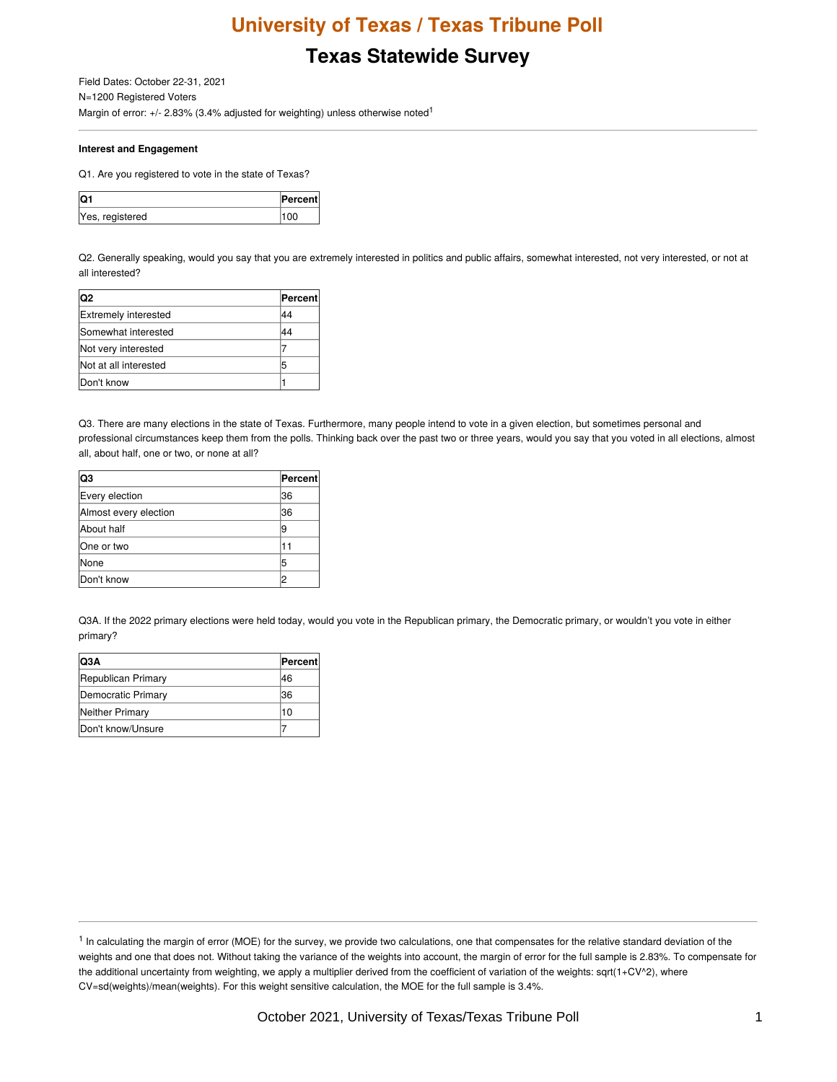# **Texas Statewide Survey**

Field Dates: October 22-31, 2021 N=1200 Registered Voters Margin of error:  $+/- 2.83\%$  (3.4% adjusted for weighting) unless otherwise noted<sup>1</sup>

#### **Interest and Engagement**

Q1. Are you registered to vote in the state of Texas?

| ΙOΓ             | <b>Percent</b> |
|-----------------|----------------|
| Yes, registered |                |

Q2. Generally speaking, would you say that you are extremely interested in politics and public affairs, somewhat interested, not very interested, or not at all interested?

| lQ2                         | <b>Percent</b> |
|-----------------------------|----------------|
| <b>Extremely interested</b> | 44             |
| <b>Somewhat interested</b>  | 44             |
| Not very interested         |                |
| Not at all interested       | 5              |
| Don't know                  |                |

Q3. There are many elections in the state of Texas. Furthermore, many people intend to vote in a given election, but sometimes personal and professional circumstances keep them from the polls. Thinking back over the past two or three years, would you say that you voted in all elections, almost all, about half, one or two, or none at all?

| lQ3                   | Percent |
|-----------------------|---------|
| Every election        | 36      |
| Almost every election | 36      |
| About half            | 19      |
| One or two            | 11      |
| None                  | 5       |
| Don't know            |         |

Q3A. If the 2022 primary elections were held today, would you vote in the Republican primary, the Democratic primary, or wouldn't you vote in either primary?

| IQ3A               | Percent |
|--------------------|---------|
| Republican Primary | 46      |
| Democratic Primary | 36      |
| Neither Primary    | 10      |
| Don't know/Unsure  |         |

<sup>&</sup>lt;sup>1</sup> In calculating the margin of error (MOE) for the survey, we provide two calculations, one that compensates for the relative standard deviation of the weights and one that does not. Without taking the variance of the weights into account, the margin of error for the full sample is 2.83%. To compensate for the additional uncertainty from weighting, we apply a multiplier derived from the coefficient of variation of the weights: sqrt(1+CV^2), where CV=sd(weights)/mean(weights). For this weight sensitive calculation, the MOE for the full sample is 3.4%.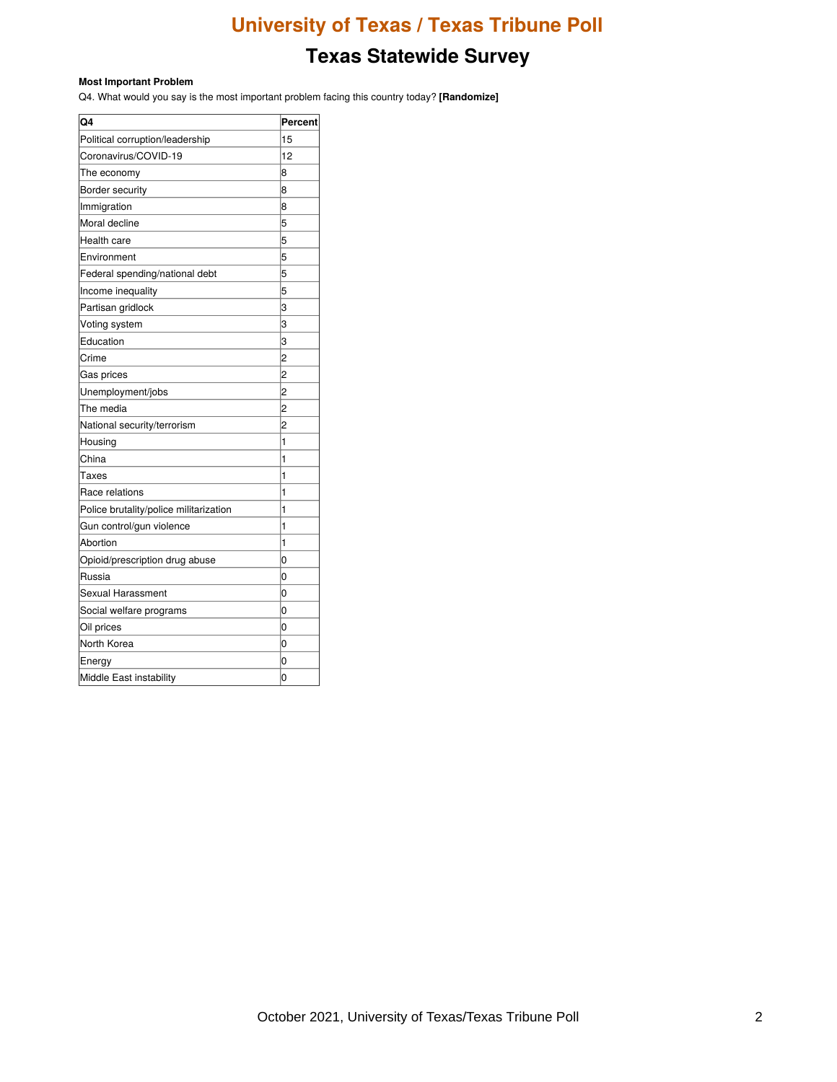# **Texas Statewide Survey**

#### **Most Important Problem**

Q4. What would you say is the most important problem facing this country today? **[Randomize]**

| Q4                                     | Percent        |
|----------------------------------------|----------------|
| Political corruption/leadership        | 15             |
| Coronavirus/COVID-19                   | 12             |
| The economy                            | 8              |
| Border security                        | 8              |
| Immigration                            | 8              |
| Moral decline                          | 5              |
| Health care                            | 5              |
| Environment                            | 5              |
| Federal spending/national debt         | 5              |
| Income inequality                      | 5              |
| Partisan gridlock                      | 3              |
| Voting system                          | 3              |
| Education                              | 3              |
| Crime                                  | 2              |
| Gas prices                             | 2              |
| Unemployment/jobs                      | $\overline{c}$ |
| The media                              | 2              |
| National security/terrorism            | 2              |
| Housing                                | 1              |
| China                                  | 1              |
| Taxes                                  | 1              |
| Race relations                         | 1              |
| Police brutality/police militarization | 1              |
| Gun control/gun violence               | 1              |
| Abortion                               | 1              |
| Opioid/prescription drug abuse         | 0              |
| Russia                                 | 0              |
| Sexual Harassment                      | 0              |
| Social welfare programs                | 0              |
| Oil prices                             | 0              |
| North Korea                            | 0              |
| Energy                                 | 0              |
| Middle East instability                | 0              |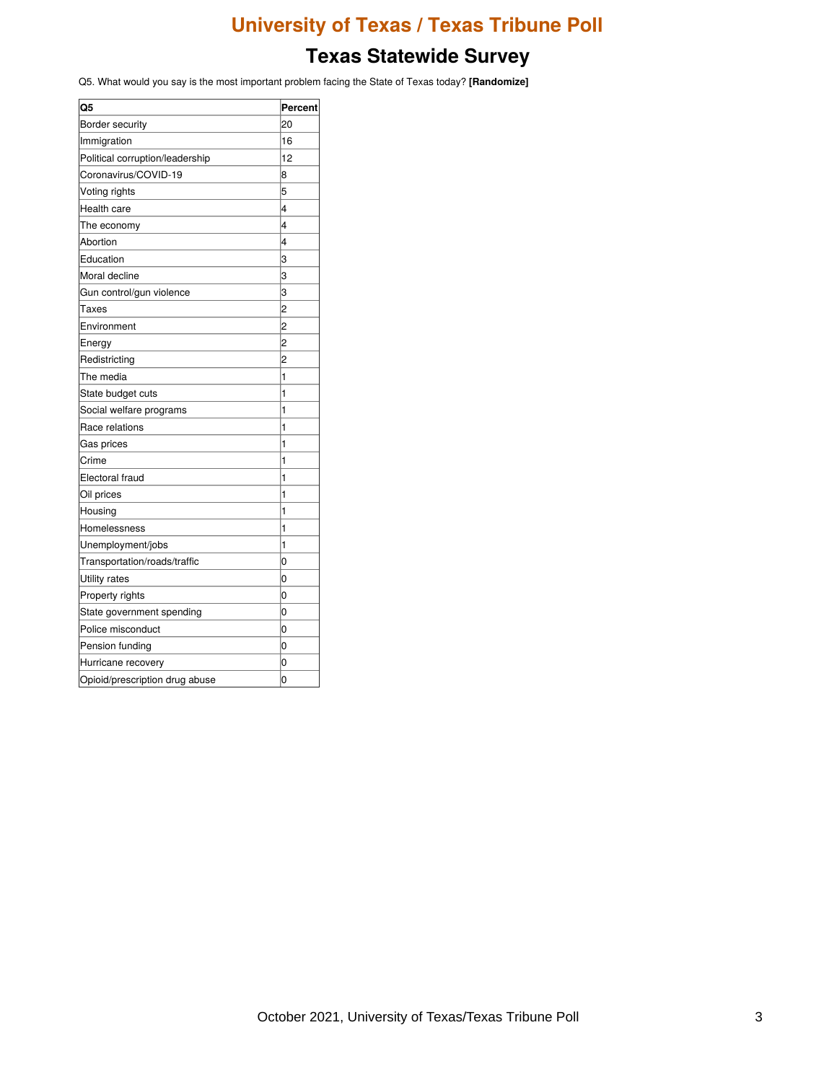### **Texas Statewide Survey**

Q5. What would you say is the most important problem facing the State of Texas today? **[Randomize]**

| Q5                              | Percent        |
|---------------------------------|----------------|
| Border security                 | 20             |
| Immigration                     | 16             |
| Political corruption/leadership | 12             |
| Coronavirus/COVID-19            | 8              |
| Voting rights                   | 5              |
| Health care                     | 4              |
| The economy                     | 4              |
| Abortion                        | 4              |
| Education                       | 3              |
| Moral decline                   | 3              |
| Gun control/gun violence        | 3              |
| Taxes                           | 2              |
| Environment                     | 2              |
| Energy                          | 2              |
| Redistricting                   | 2              |
| The media                       | 1              |
| State budget cuts               | 1              |
| Social welfare programs         | 1              |
| Race relations                  | 1              |
| Gas prices                      | 1              |
| Crime                           | 1              |
| Electoral fraud                 | 1              |
| Oil prices                      | 1              |
| Housing                         | 1              |
| Homelessness                    | 1              |
| Unemployment/jobs               | 1              |
| Transportation/roads/traffic    | 0              |
| Utility rates                   | 0              |
| Property rights                 | 0              |
| State government spending       | 0              |
| Police misconduct               | 0              |
| Pension funding                 | 0              |
| Hurricane recovery              | 0              |
| Opioid/prescription drug abuse  | $\overline{0}$ |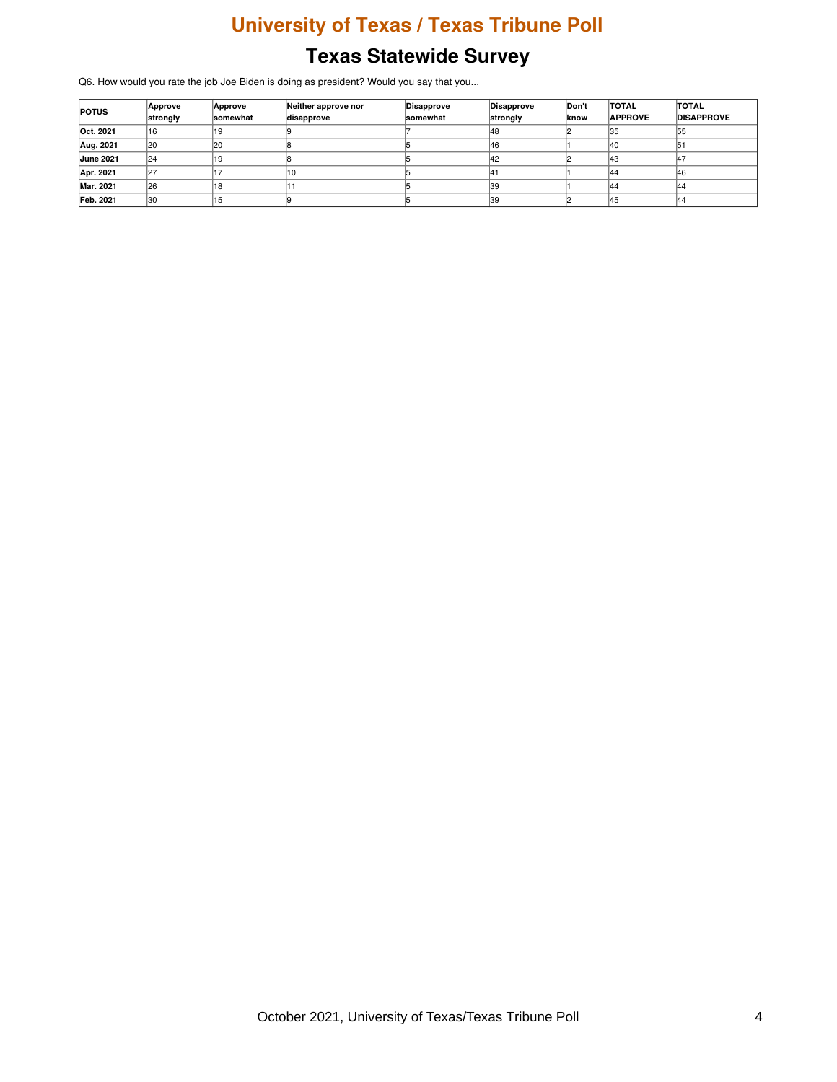Q6. How would you rate the job Joe Biden is doing as president? Would you say that you...

| <b>POTUS</b>     | Approve<br>strongly | Approve<br><b>somewhat</b> | Neither approve nor<br>disapprove | Disapprove<br>somewhat | Disapprove<br>strongly | Don't<br>lknow | <b>TOTAL</b><br><b>APPROVE</b> | <b>TOTAL</b><br><b>DISAPPROVE</b> |
|------------------|---------------------|----------------------------|-----------------------------------|------------------------|------------------------|----------------|--------------------------------|-----------------------------------|
| Oct. 2021        | 16                  |                            |                                   |                        | 148                    |                | 135                            | 155                               |
| Aug. 2021        | l20                 | <b>20</b>                  |                                   |                        | 46                     |                | 140                            | lb.                               |
| <b>June 2021</b> | 124                 |                            |                                   |                        | 42                     |                | 143                            | 14.7                              |
| Apr. 2021        | 27                  |                            |                                   |                        |                        |                | 144                            | 46                                |
| Mar. 2021        | 126                 | 18                         |                                   |                        | 139                    |                | 144                            | 144                               |
| Feb. 2021        | 30                  | 15                         |                                   |                        | 39                     |                | 145                            | 144                               |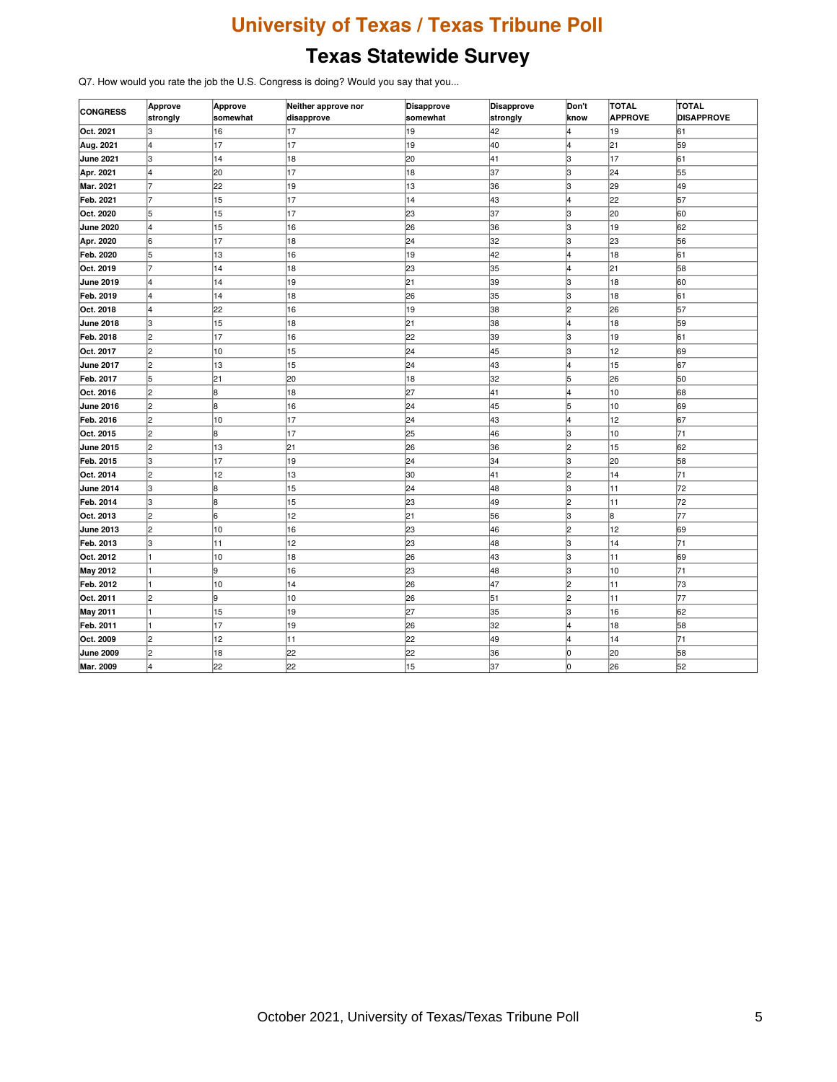Q7. How would you rate the job the U.S. Congress is doing? Would you say that you...

| <b>CONGRESS</b>  | Approve<br>strongly | Approve<br>somewhat | Neither approve nor<br>disapprove | <b>Disapprove</b><br>somewhat | <b>Disapprove</b><br>strongly | Don't<br>know | <b>TOTAL</b><br><b>APPROVE</b> | <b>TOTAL</b><br><b>DISAPPROVE</b> |
|------------------|---------------------|---------------------|-----------------------------------|-------------------------------|-------------------------------|---------------|--------------------------------|-----------------------------------|
| Oct. 2021        | lз                  | 16                  | 17                                | 19                            | 42                            |               | 19                             | 61                                |
| Aug. 2021        | l4                  | 17                  | 17                                | 19                            | 40                            | l4            | 21                             | 59                                |
| <b>June 2021</b> | lз                  | 14                  | 18                                | 20                            | 41                            | 3             | 17                             | 61                                |
| Apr. 2021        | l4                  | 20                  | 17                                | 18                            | 37                            | lз            | 24                             | 55                                |
| Mar. 2021        |                     | 22                  | 19                                | 13                            | 36                            | lз            | 29                             | 49                                |
| Feb. 2021        | 17                  | 15                  | 17                                | 14                            | 43                            | l4            | 22                             | 57                                |
| Oct. 2020        | 5                   | 15                  | 17                                | 23                            | 37                            | lз            | 20                             | 60                                |
| <b>June 2020</b> | 4                   | 15                  | 16                                | 26                            | 36                            | lз            | 19                             | 62                                |
| Apr. 2020        | 6                   | 17                  | 18                                | 24                            | 32                            | Iз            | 23                             | 56                                |
| Feb. 2020        | 5                   | 13                  | 16                                | 19                            | 42                            | l4            | 18                             | 61                                |
| Oct. 2019        | 17                  | 14                  | 18                                | 23                            | 35                            | 4             | 21                             | 58                                |
| <b>June 2019</b> | l4                  | 14                  | 19                                | 21                            | 39                            | lз            | 18                             | 60                                |
| Feb. 2019        | 4                   | 14                  | 18                                | 26                            | 35                            | lз            | 18                             | 61                                |
| Oct. 2018        | l4                  | 22                  | 16                                | 19                            | 38                            | 2             | 26                             | 57                                |
| <b>June 2018</b> | lз                  | 15                  | 18                                | 21                            | 38                            | l4            | 18                             | 59                                |
| Feb. 2018        | l2                  | 17                  | 16                                | 22                            | 39                            | 3             | 19                             | 61                                |
| Oct. 2017        | l2                  | 10                  | 15                                | 24                            | 45                            | lз            | 12                             | 69                                |
| <b>June 2017</b> | l2                  | 13                  | 15                                | 24                            | 43                            | l4            | 15                             | 67                                |
| Feb. 2017        | l5                  | 21                  | 20                                | 18                            | 32                            | 5             | 26                             | 50                                |
| Oct. 2016        | l2                  | 8                   | 18                                | 27                            | 41                            | 4             | 10                             | 68                                |
| <b>June 2016</b> | 2                   | l8                  | 16                                | 24                            | 45                            | 5             | 10                             | 69                                |
| Feb. 2016        | 2                   | 10                  | 17                                | 24                            | 43                            | 4             | 12                             | 67                                |
| Oct. 2015        | l2                  | l8                  | 17                                | 25                            | 46                            | lз            | 10                             | 71                                |
| June 2015        | l2                  | 13                  | 21                                | 26                            | 36                            | 2             | 15                             | 62                                |
| Feb. 2015        | Jз                  | 17                  | 19                                | 24                            | 34                            | lз            | 20                             | 58                                |
| Oct. 2014        | 2                   | 12                  | 13                                | 30                            | 41                            | 2             | 14                             | 71                                |
| <b>June 2014</b> | lз                  | 8                   | 15                                | 24                            | 48                            | lз            | 11                             | 72                                |
| Feb. 2014        | lз                  | 8                   | 15                                | 23                            | 49                            | l2            | 11                             | 72                                |
| Oct. 2013        | 2                   | 6                   | 12                                | 21                            | 56                            | lз            | 8                              | 77                                |
| <b>June 2013</b> | l2                  | 10                  | 16                                | 23                            | 46                            | l2            | 12                             | 69                                |
| Feb. 2013        | lз                  | 11                  | 12                                | 23                            | 48                            | lз            | 14                             | 71                                |
| Oct. 2012        |                     | 10                  | 18                                | 26                            | 43                            | lз            | 11                             | 69                                |
| <b>May 2012</b>  |                     | l9                  | 16                                | 23                            | 48                            | lз            | 10                             | 71                                |
| Feb. 2012        |                     | 10                  | 14                                | 26                            | 47                            | l2            | 11                             | 73                                |
| Oct. 2011        | 2                   | 9                   | 10                                | 26                            | 51                            | 2             | 11                             | 77                                |
| <b>May 2011</b>  |                     | 15                  | 19                                | 27                            | 35                            | lз            | 16                             | 62                                |
| Feb. 2011        |                     | 17                  | 19                                | 26                            | 32                            | l4            | 18                             | 58                                |
| Oct. 2009        | l2                  | 12                  | 11                                | 22                            | 49                            | l4            | 14                             | 71                                |
| <b>June 2009</b> | 2                   | 18                  | 22                                | 22                            | 36                            | lо            | 20                             | 58                                |
| Mar. 2009        | l4                  | 22                  | 22                                | 15                            | 37                            | lo            | 26                             | 52                                |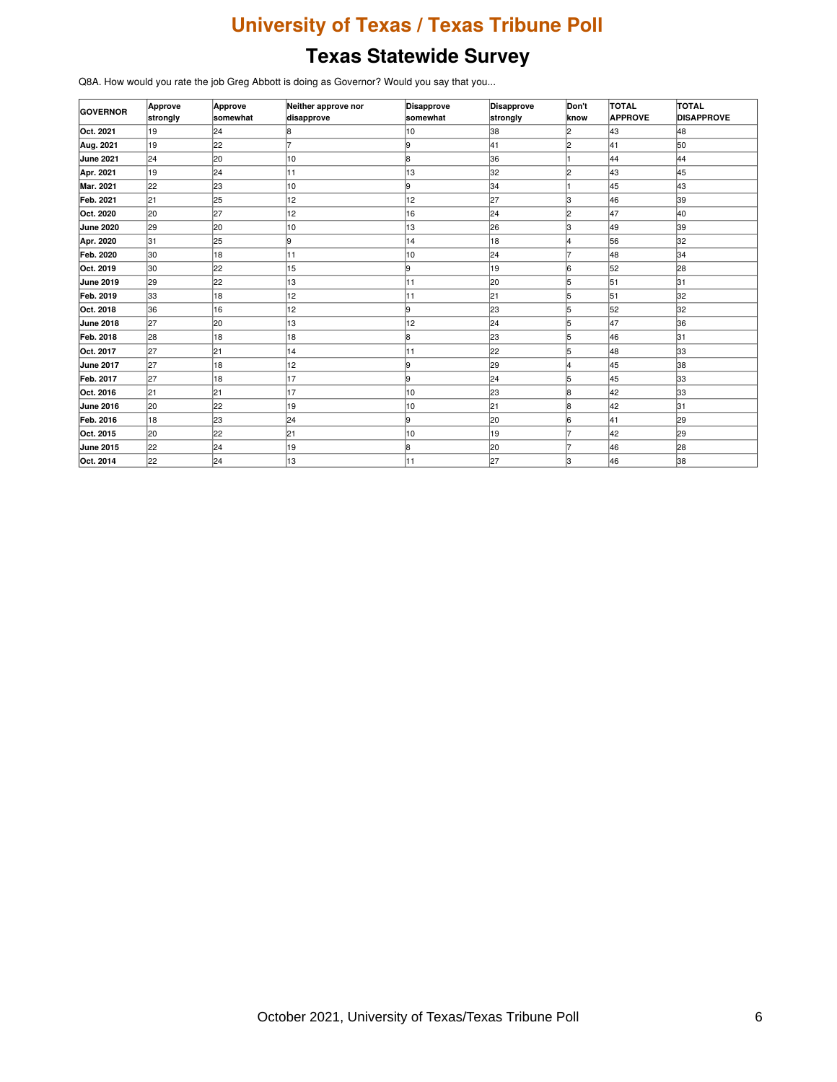Q8A. How would you rate the job Greg Abbott is doing as Governor? Would you say that you...

| <b>GOVERNOR</b>  | Approve  | Approve         | Neither approve nor | Disapprove | <b>Disapprove</b> | Don't | <b>TOTAL</b>   | TOTAL             |
|------------------|----------|-----------------|---------------------|------------|-------------------|-------|----------------|-------------------|
|                  | strongly | <b>somewhat</b> | disapprove          | somewhat   | strongly          | know  | <b>APPROVE</b> | <b>DISAPPROVE</b> |
| Oct. 2021        | 19       | 24              | 18                  | 10         | 38                | l2    | 43             | 48                |
| Aug. 2021        | 19       | 22              |                     | 19         | 41                | l2    | 41             | 50                |
| June 2021        | 24       | 20              | 10                  | l8         | 36                |       | 44             | 44                |
| Apr. 2021        | 19       | 24              | 11                  | 13         | 32                | l2    | 43             | 45                |
| Mar. 2021        | 22       | 23              | 10                  | l9         | 34                |       | 45             | 43                |
| Feb. 2021        | 21       | 25              | 12                  | 12         | 27                | lз    | 46             | 39                |
| Oct. 2020        | 20       | 27              | 12                  | 16         | 24                | l2    | 47             | 40                |
| June 2020        | 29       | 20              | 10                  | 13         | 26                | Iз    | 49             | 39                |
| Apr. 2020        | 31       | 25              | l9                  | 14         | 18                | l4    | 56             | 32                |
| Feb. 2020        | 30       | 18              | 11                  | 10         | 24                |       | 48             | 34                |
| Oct. 2019        | 30       | 22              | 15                  | l9         | 19                | 16    | 52             | 28                |
| June 2019        | 29       | 22              | 13                  | 11         | 20                | 5     | 51             | 31                |
| Feb. 2019        | 33       | 18              | 12                  | 11         | 21                | 5     | 51             | 32                |
| Oct. 2018        | 36       | 16              | 12                  | l9         | 23                | 5     | 52             | 32                |
| June 2018        | 27       | 20              | 13                  | 12         | 24                | 5     | 47             | 36                |
| Feb. 2018        | 28       | 18              | 18                  | l8         | 23                | 5     | 46             | 31                |
| Oct. 2017        | 27       | 21              | 14                  | 11         | 22                | 5     | 48             | 33                |
| <b>June 2017</b> | 27       | 18              | 12                  | l9         | 29                | l4    | 45             | 38                |
| Feb. 2017        | 27       | 18              | 17                  | l9         | 24                | 15    | 45             | 33                |
| Oct. 2016        | 21       | 21              | 17                  | 10         | 23                | l8    | 42             | 33                |
| <b>June 2016</b> | 20       | 22              | 19                  | 10         | 21                | 18    | 42             | 31                |
| Feb. 2016        | 18       | 23              | 24                  | l9         | 20                | 16    | 41             | 29                |
| Oct. 2015        | 20       | 22              | 21                  | 10         | 19                |       | 42             | 29                |
| June 2015        | 22       | 24              | 19                  | l8         | 20                | 17    | 46             | 28                |
| Oct. 2014        | 22       | 24              | 13                  | 11         | 27                | lз    | 46             | 38                |
|                  |          |                 |                     |            |                   |       |                |                   |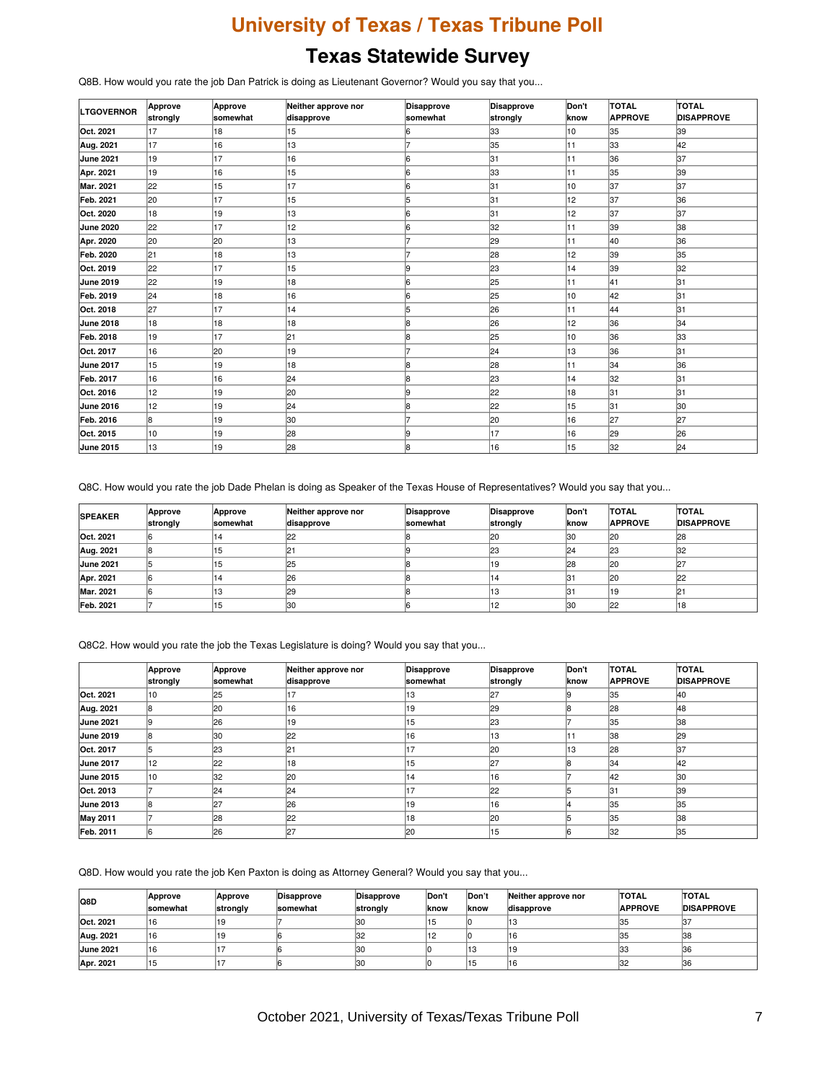Q8B. How would you rate the job Dan Patrick is doing as Lieutenant Governor? Would you say that you...

| <b>LTGOVERNOR</b> | Approve  | Approve  | Neither approve nor | Disapprove | <b>Disapprove</b> | Don't | <b>TOTAL</b>   | TOTAL             |
|-------------------|----------|----------|---------------------|------------|-------------------|-------|----------------|-------------------|
|                   | strongly | somewhat | disapprove          | somewhat   | strongly          | know  | <b>APPROVE</b> | <b>DISAPPROVE</b> |
| Oct. 2021         | 17       | 18       | 15                  |            | 33                | 10    | 35             | 39                |
| Aug. 2021         | 17       | 16       | 13                  |            | 35                | 11    | l33            | 42                |
| June 2021         | 19       | 17       | 16                  | 6          | 31                | 11    | 36             | 37                |
| Apr. 2021         | 19       | 16       | 15                  | l6         | 33                | 11    | 35             | 39                |
| <b>Mar. 2021</b>  | 22       | 15       | 17                  | l6         | 31                | 10    | 137            | 37                |
| Feb. 2021         | 20       | 17       | 15                  | 5          | 31                | 12    | 37             | 36                |
| Oct. 2020         | 18       | 19       | 13                  | l6         | 31                | 12    | 37             | 37                |
| June 2020         | 22       | 17       | 12                  | l6         | 32                | 11    | 39             | 38                |
| Apr. 2020         | 20       | 20       | 13                  |            | 29                | 11    | 40             | 36                |
| Feb. 2020         | 21       | 18       | 13                  |            | 28                | 12    | 39             | 35                |
| Oct. 2019         | 22       | 17       | 15                  | l9         | 23                | 14    | 39             | 32                |
| <b>June 2019</b>  | 22       | 19       | 18                  | 16         | 25                | 11    | 41             | 31                |
| Feb. 2019         | 24       | 18       | 16                  | l6         | 25                | 10    | 42             | 31                |
| Oct. 2018         | 27       | 17       | 14                  | l5         | 26                | 11    | 44             | 31                |
| June 2018         | 18       | 18       | 18                  | l8         | 26                | 12    | 36             | 34                |
| Feb. 2018         | 19       | 17       | 21                  | l8         | 25                | 10    | 36             | 33                |
| Oct. 2017         | 16       | 20       | 19                  |            | 24                | 13    | 36             | 31                |
| <b>June 2017</b>  | 15       | 19       | 18                  | l8         | 28                | 11    | 34             | 36                |
| Feb. 2017         | 16       | 16       | 24                  | l8         | 23                | 14    | 32             | 31                |
| Oct. 2016         | 12       | 19       | 20                  | l9         | 22                | 18    | 31             | 31                |
| <b>June 2016</b>  | 12       | 19       | 24                  | l8         | 22                | 15    | 31             | 30                |
| Feb. 2016         | 8        | 19       | 30                  |            | 20                | 16    | 27             | 27                |
| Oct. 2015         | 10       | 19       | 28                  | ļ9         | 17                | 16    | 29             | 26                |
| <b>June 2015</b>  | 13       | 19       | 28                  | l8         | 16                | 15    | 32             | 24                |

Q8C. How would you rate the job Dade Phelan is doing as Speaker of the Texas House of Representatives? Would you say that you...

| <b>SPEAKER</b>   | Approve<br>strongly | Approve<br>somewhat | Neither approve nor<br>disapprove | Disapprove<br><b>somewhat</b> | Disapprove<br>strongly | Don't<br><b>Iknow</b> | <b>TOTAL</b><br><b>APPROVE</b> | <b>TOTAL</b><br><b>DISAPPROVE</b> |
|------------------|---------------------|---------------------|-----------------------------------|-------------------------------|------------------------|-----------------------|--------------------------------|-----------------------------------|
| Oct. 2021        |                     | . 14                | 22                                |                               | l20                    | 30                    | 120                            | 28                                |
| Aug. 2021        |                     | 15                  |                                   |                               | 23                     | 24                    | 123                            | 32                                |
| <b>June 2021</b> |                     | 15                  | 125                               |                               | 19                     | 128                   | 120                            | 127                               |
| Apr. 2021        |                     |                     | 26                                |                               | 14                     | 131                   | 120                            | 22                                |
| Mar. 2021        |                     | 13                  | 129                               |                               |                        | 31                    | 19                             | I2.                               |
| Feb. 2021        |                     | 15                  | 130                               |                               |                        | 130                   | loo<br>ے                       | 18                                |

Q8C2. How would you rate the job the Texas Legislature is doing? Would you say that you...

|                  | <b>Approve</b><br>strongly | Approve<br><b>somewhat</b> | Neither approve nor<br>disapprove | Disapprove<br><b>somewhat</b> | <b>Disapprove</b><br>strongly | Don't<br><b>Iknow</b> | <b>TOTAL</b><br><b>APPROVE</b> | <b>TOTAL</b><br><b>DISAPPROVE</b> |
|------------------|----------------------------|----------------------------|-----------------------------------|-------------------------------|-------------------------------|-----------------------|--------------------------------|-----------------------------------|
| Oct. 2021        | 10                         | 25                         |                                   | 13                            | 127                           |                       | 35                             | 40                                |
| Aug. 2021        |                            | 20                         | 16                                | 19                            | 29                            |                       | 28                             | 48                                |
| <b>June 2021</b> |                            | 26                         | 119                               | 15                            | 23                            |                       | 35                             | 38                                |
| <b>June 2019</b> |                            | 30                         | 22                                | 16                            | 13                            | 11                    | 138                            | 29                                |
| Oct. 2017        |                            | 23                         | 21                                | 7                             | 20                            | 13                    | 128                            | 137                               |
| <b>June 2017</b> | 12                         | 22                         | 18                                | 15                            | 27                            |                       | 34                             | 42                                |
| <b>June 2015</b> | 10                         | 32                         | 120                               | 14                            | 16                            |                       | 142                            | 30                                |
| Oct. 2013        |                            | 24                         | 24                                |                               | 22                            |                       | 31                             | 39                                |
| <b>June 2013</b> |                            | 27                         | 26                                | 19                            | 16                            |                       | 35                             | 35                                |
| <b>May 2011</b>  |                            | 28                         | 22                                | 18                            | 20                            |                       | 35                             | 38                                |
| Feb. 2011        |                            | 26                         | 27                                | 20                            | 15                            | 6                     | 132                            | 35                                |

Q8D. How would you rate the job Ken Paxton is doing as Attorney General? Would you say that you...

| Q8D              | Approve<br><b>somewhat</b> | Approve<br>strongly | Disapprove<br>somewhat | Disapprove<br>strongly | <b>Don't</b><br>lknow | Don't<br>lknow | Neither approve nor<br>disapprove | <b>TOTAL</b><br><b>APPROVE</b> | <b>TOTAL</b><br><b>DISAPPROVE</b> |
|------------------|----------------------------|---------------------|------------------------|------------------------|-----------------------|----------------|-----------------------------------|--------------------------------|-----------------------------------|
| Oct. 2021        | 16                         | 19                  |                        | 130                    |                       |                | د ا                               | 135                            |                                   |
| Aug. 2021        | 16                         | '19                 |                        | 32                     |                       |                | l16                               | 35                             | 138                               |
| <b>June 2021</b> | 16                         |                     |                        | 130                    |                       |                | l19                               | 133                            | 136                               |
| Apr. 2021        | 15                         |                     |                        | 130                    |                       |                | 16                                | 32                             | 136                               |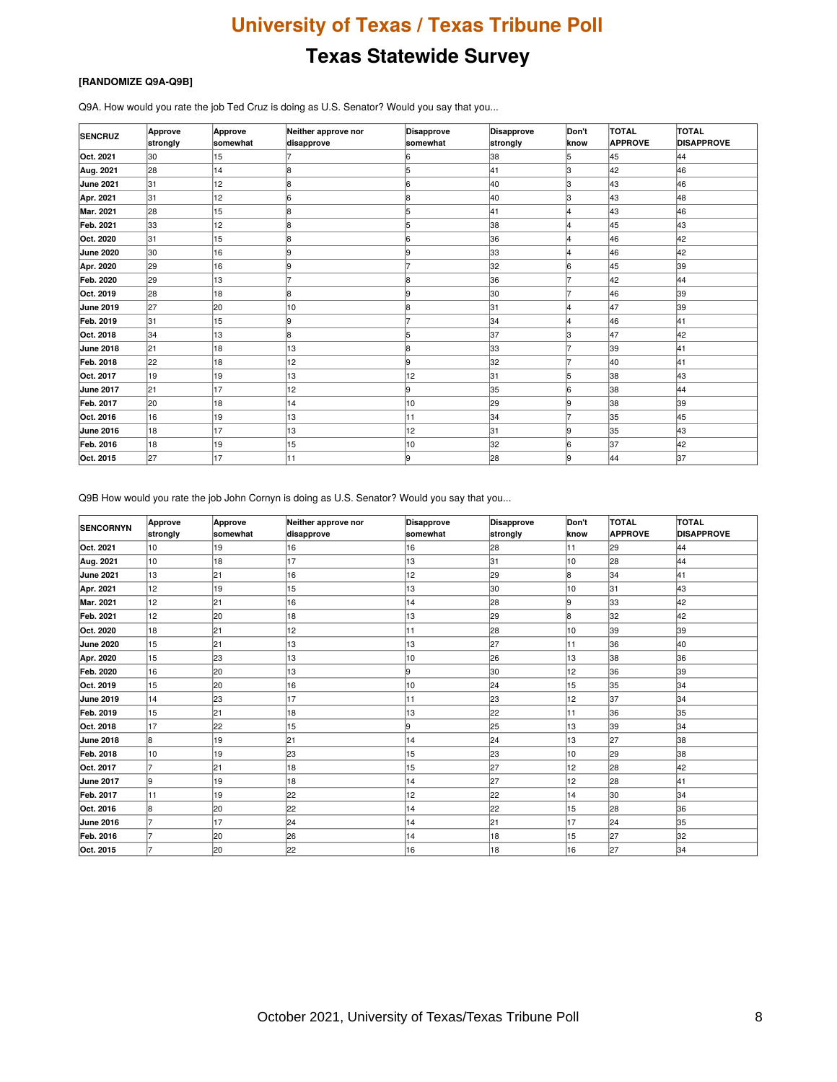#### **[RANDOMIZE Q9A-Q9B]**

Q9A. How would you rate the job Ted Cruz is doing as U.S. Senator? Would you say that you...

| <b>SENCRUZ</b>   | Approve<br>strongly | Approve<br>somewhat | Neither approve nor<br>disapprove | Disapprove<br>somewhat | Disapprove<br>strongly | Don't<br>know  | <b>TOTAL</b><br><b>APPROVE</b> | TOTAL<br><b>DISAPPROVE</b> |
|------------------|---------------------|---------------------|-----------------------------------|------------------------|------------------------|----------------|--------------------------------|----------------------------|
| Oct. 2021        | 30                  | 15                  |                                   |                        | 38                     | 5              | 45                             | 44                         |
| Aug. 2021        | 28                  | 14                  |                                   | 15                     | 41                     | lЗ             | 42                             | 46                         |
| June 2021        | 31                  | 12                  |                                   | 16                     | 40                     | lЗ             | 43                             | 46                         |
| Apr. 2021        | 31                  | 12                  |                                   | 18                     | 40                     | lЗ             | 43                             | 48                         |
| Mar. 2021        | 28                  | 15                  |                                   | 15                     | 41                     | 4              | 43                             | 46                         |
| Feb. 2021        | 33                  | 12                  |                                   | 15                     | 38                     | 4              | 45                             | 43                         |
| Oct. 2020        | 31                  | 15                  |                                   | l6                     | 36                     | 4              | 46                             | 42                         |
| <b>June 2020</b> | 30                  | 16                  |                                   | 19                     | 33                     | 4              | 46                             | 42                         |
| Apr. 2020        | 29                  | 16                  |                                   |                        | 32                     | l6             | 45                             | 39                         |
| Feb. 2020        | 29                  | 13                  |                                   | 18                     | 36                     |                | 42                             | 44                         |
| Oct. 2019        | 28                  | 18                  |                                   |                        | 30                     |                | 46                             | 39                         |
| June 2019        | 27                  | 20                  | 10                                | l8                     | 31                     | 4              | 47                             | 39                         |
| Feb. 2019        | 31                  | 15                  |                                   |                        | 34                     | 4              | 46                             | 41                         |
| Oct. 2018        | 34                  | 13                  |                                   | 15                     | 37                     | lЗ             | 47                             | 42                         |
| June 2018        | 21                  | 18                  | 13                                | l8                     | 33                     | $\overline{z}$ | 39                             | 41                         |
| Feb. 2018        | 22                  | 18                  | 12                                | l9                     | 32                     | $\overline{ }$ | 40                             | 41                         |
| Oct. 2017        | 19                  | 19                  | 13                                | $\overline{2}$         | 31                     | 5              | 38                             | 43                         |
| June 2017        | 21                  | 17                  | 12                                | l9                     | 35                     | l6             | 38                             | 44                         |
| Feb. 2017        | 20                  | 18                  | 14                                | 10                     | 29                     | l9             | 38                             | 39                         |
| Oct. 2016        | 16                  | 19                  | 13                                | 11                     | 34                     | 7              | 35                             | 45                         |
| <b>June 2016</b> | 18                  | 17                  | 13                                | 12                     | 31                     | l9             | 35                             | 43                         |
| Feb. 2016        | 18                  | 19                  | 15                                | 10                     | 32                     | 6              | 37                             | 42                         |
| Oct. 2015        | 27                  | 17                  | 11                                | 9                      | 28                     | 19             | 44                             | 37                         |

Q9B How would you rate the job John Cornyn is doing as U.S. Senator? Would you say that you...

| <b>SENCORNYN</b> | <b>Approve</b><br>strongly | Approve<br>somewhat | Neither approve nor<br>disapprove | Disapprove<br>somewhat | Disapprove<br>strongly | Don't<br>know | <b>TOTAL</b><br><b>APPROVE</b> | TOTAL<br><b>DISAPPROVE</b> |
|------------------|----------------------------|---------------------|-----------------------------------|------------------------|------------------------|---------------|--------------------------------|----------------------------|
| Oct. 2021        | 10                         | 19                  | 16                                | 16                     | 28                     | 11            | 29                             | 44                         |
| Aug. 2021        | 10                         | 18                  | 17                                | 13                     | 31                     | 10            | 28                             | 44                         |
| <b>June 2021</b> | 13                         | 21                  | 16                                | 12                     | 29                     | 8             | 34                             | 41                         |
| Apr. 2021        | 12                         | 19                  | 15                                | 13                     | 30                     | 10            | 31                             | 43                         |
| <b>Mar. 2021</b> | 12                         | 21                  | 16                                | 14                     | 28                     | 9             | l33                            | 42                         |
| Feb. 2021        | 12 <sup>2</sup>            | 20                  | 18                                | 13                     | 29                     | l8            | 32                             | 42                         |
| Oct. 2020        | 18                         | 21                  | 12                                | 11                     | 28                     | 10            | 39                             | 39                         |
| <b>June 2020</b> | 15                         | 21                  | 13                                | 13                     | 27                     | 11            | 36                             | 40                         |
| Apr. 2020        | 15                         | 23                  | 13                                | 10                     | 26                     | 13            | 38                             | 36                         |
| Feb. 2020        | 16                         | 20                  | 13                                | 19                     | 30                     | 12            | 36                             | 39                         |
| Oct. 2019        | 15                         | 20                  | 16                                | 10                     | 24                     | 15            | 35                             | 34                         |
| <b>June 2019</b> | 14                         | 23                  | 17                                | 11                     | 23                     | 12            | 37                             | 34                         |
| Feb. 2019        | 15                         | 21                  | 18                                | 13                     | 22                     | 11            | 36                             | 35                         |
| Oct. 2018        | 17                         | 22                  | 15                                | 19                     | 25                     | 13            | 39                             | 34                         |
| <b>June 2018</b> | 8                          | 19                  | 21                                | $\overline{4}$         | 24                     | 13            | 27                             | 38                         |
| Feb. 2018        | 10                         | 19                  | 23                                | 5                      | 23                     | 10            | 29                             | 38                         |
| Oct. 2017        |                            | 21                  | 18                                | 5                      | 27                     | 12            | 28                             | 42                         |
| June 2017        | l9                         | 19                  | 18                                | $\overline{4}$         | 27                     | 12            | 28                             | 41                         |
| Feb. 2017        | 11                         | 19                  | 22                                | 12                     | 22                     | 14            | 30                             | 34                         |
| Oct. 2016        | 8                          | 20                  | 22                                | 4                      | 22                     | 15            | 28                             | 36                         |
| <b>June 2016</b> | 7                          | 17                  | 24                                | 4                      | 21                     | 17            | 24                             | 35                         |
| Feb. 2016        | 7                          | 20                  | 26                                | 4                      | 18                     | 15            | 27                             | 32                         |
| Oct. 2015        |                            | 20                  | 22                                | 16                     | 18                     | 16            | 27                             | 34                         |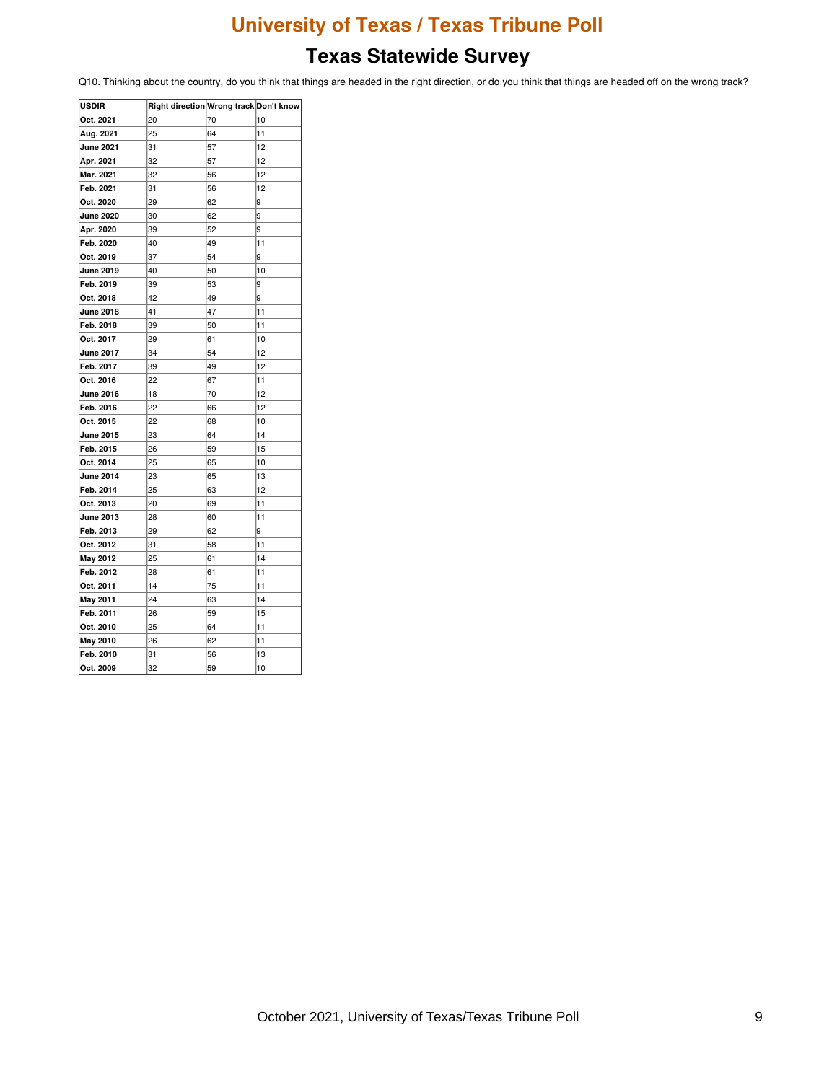### **Texas Statewide Survey**

Q10. Thinking about the country, do you think that things are headed in the right direction, or do you think that things are headed off on the wrong track?

| <b>USDIR</b>     | Right direction Wrong track Don't know |    |    |
|------------------|----------------------------------------|----|----|
| Oct. 2021        | 20                                     | 70 | 10 |
| Aug. 2021        | 25                                     | 64 | 11 |
| <b>June 2021</b> | 31                                     | 57 | 12 |
| Apr. 2021        | 32                                     | 57 | 12 |
| Mar. 2021        | 32                                     | 56 | 12 |
| Feb. 2021        | 31                                     | 56 | 12 |
| Oct. 2020        | 29                                     | 62 | 9  |
| <b>June 2020</b> | 30                                     | 62 | 9  |
| Apr. 2020        | 39                                     | 52 | 9  |
| Feb. 2020        | 40                                     | 49 | 11 |
| Oct. 2019        | 37                                     | 54 | 9  |
| <b>June 2019</b> | 40                                     | 50 | 10 |
| Feb. 2019        | 39                                     | 53 | 9  |
| Oct. 2018        | 42                                     | 49 | 9  |
| <b>June 2018</b> | 41                                     | 47 | 11 |
| Feb. 2018        | 39                                     | 50 | 11 |
| Oct. 2017        | 29                                     | 61 | 10 |
| <b>June 2017</b> | 34                                     | 54 | 12 |
| Feb. 2017        | 39                                     | 49 | 12 |
| Oct. 2016        | 22                                     | 67 | 11 |
| <b>June 2016</b> | 18                                     | 70 | 12 |
| Feb. 2016        | 22                                     | 66 | 12 |
| Oct. 2015        | 22                                     | 68 | 10 |
| <b>June 2015</b> | 23                                     | 64 | 14 |
| Feb. 2015        | 26                                     | 59 | 15 |
| Oct. 2014        | 25                                     | 65 | 10 |
| <b>June 2014</b> | 23                                     | 65 | 13 |
| Feb. 2014        | 25                                     | 63 | 12 |
| Oct. 2013        | 20                                     | 69 | 11 |
| <b>June 2013</b> | 28                                     | 60 | 11 |
| Feb. 2013        | 29                                     | 62 | 9  |
| Oct. 2012        | 31                                     | 58 | 11 |
| May 2012         | 25                                     | 61 | 14 |
| Feb. 2012        | 28                                     | 61 | 11 |
| Oct. 2011        | 14                                     | 75 | 11 |
| May 2011         | 24                                     | 63 | 14 |
| Feb. 2011        | 26                                     | 59 | 15 |
| Oct. 2010        | 25                                     | 64 | 11 |
| May 2010         | 26                                     | 62 | 11 |
| Feb. 2010        | 31                                     | 56 | 13 |
| Oct. 2009        | 32                                     | 59 | 10 |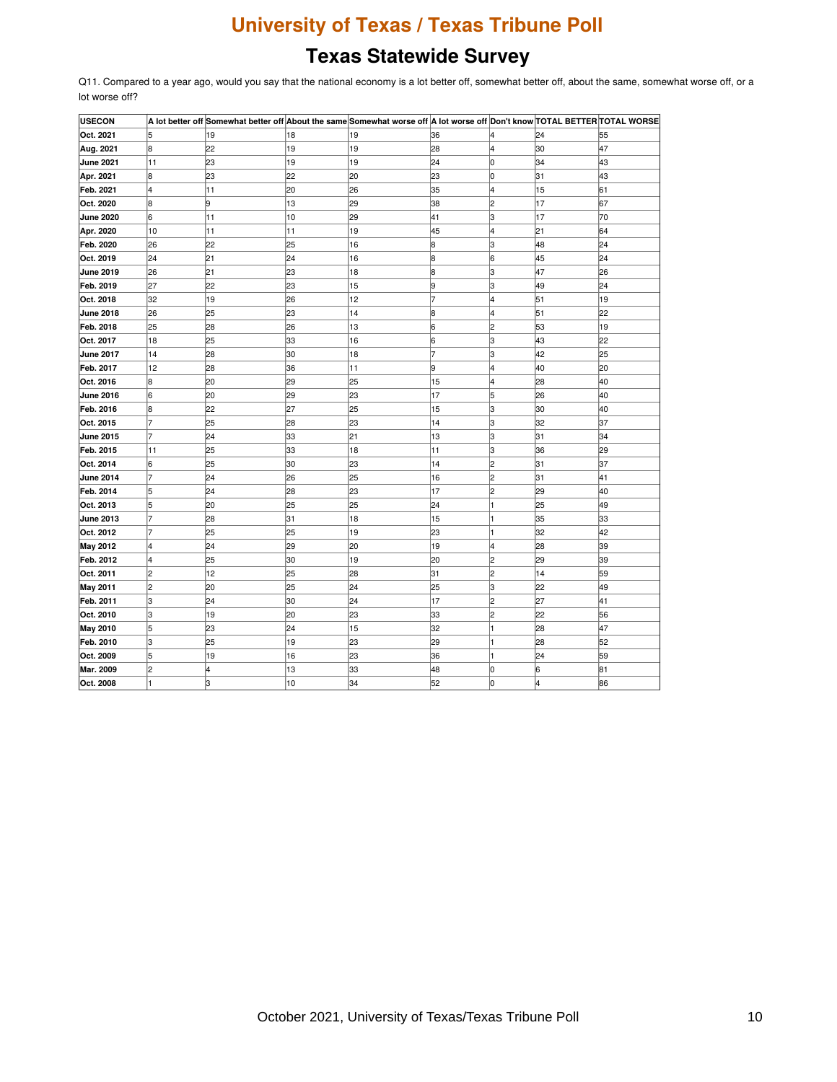# **Texas Statewide Survey**

Q11. Compared to a year ago, would you say that the national economy is a lot better off, somewhat better off, about the same, somewhat worse off, or a lot worse off?

| <b>USECON</b>    |                |    |    | A lot better off Somewhat better off About the same Somewhat worse off A lot worse off Don't know TOTAL BETTER TOTAL WORSE |    |    |    |    |
|------------------|----------------|----|----|----------------------------------------------------------------------------------------------------------------------------|----|----|----|----|
| Oct. 2021        | 5              | 19 | 18 | 19                                                                                                                         | 36 |    | 24 | 55 |
| Aug. 2021        | 8              | 22 | 19 | 19                                                                                                                         | 28 |    | 30 | 47 |
| <b>June 2021</b> | 11             | 23 | 19 | 19                                                                                                                         | 24 | Iо | 34 | 43 |
| Apr. 2021        | 8              | 23 | 22 | 20                                                                                                                         | 23 | lо | 31 | 43 |
| Feb. 2021        | 4              | 11 | 20 | 26                                                                                                                         | 35 | l4 | 15 | 61 |
| Oct. 2020        | 8              | 9  | 13 | 29                                                                                                                         | 38 | 2  | 17 | 67 |
| <b>June 2020</b> | 6              | 11 | 10 | 29                                                                                                                         | 41 | 3  | 17 | 70 |
| Apr. 2020        | 10             | 11 | 11 | 19                                                                                                                         | 45 | 4  | 21 | 64 |
| Feb. 2020        | 26             | 22 | 25 | 16                                                                                                                         | 8  | lз | 48 | 24 |
| Oct. 2019        | 24             | 21 | 24 | 16                                                                                                                         | 8  | 6  | 45 | 24 |
| June 2019        | 26             | 21 | 23 | 18                                                                                                                         | 8  | З  | 47 | 26 |
| Feb. 2019        | 27             | 22 | 23 | 15                                                                                                                         | l9 | lз | 49 | 24 |
| Oct. 2018        | 32             | 19 | 26 | 12                                                                                                                         | 7  | 4  | 51 | 19 |
| <b>June 2018</b> | 26             | 25 | 23 | 14                                                                                                                         | 8  | 4  | 51 | 22 |
| Feb. 2018        | 25             | 28 | 26 | 13                                                                                                                         | 16 | l2 | 53 | 19 |
| Oct. 2017        | 18             | 25 | 33 | 16                                                                                                                         | 6  | 3  | 43 | 22 |
| <b>June 2017</b> | 14             | 28 | 30 | 18                                                                                                                         | 7  | 3  | 42 | 25 |
| Feb. 2017        | 12             | 28 | 36 | 11                                                                                                                         | 9  | 4  | 40 | 20 |
| Oct. 2016        | l8             | 20 | 29 | 25                                                                                                                         | 15 | 4  | 28 | 40 |
| <b>June 2016</b> | 6              | 20 | 29 | 23                                                                                                                         | 17 | 15 | 26 | 40 |
| Feb. 2016        | 8              | 22 | 27 | 25                                                                                                                         | 15 | 3  | 30 | 40 |
| Oct. 2015        | 7              | 25 | 28 | 23                                                                                                                         | 14 | 3  | 32 | 37 |
| <b>June 2015</b> | $\overline{7}$ | 24 | 33 | 21                                                                                                                         | 13 | 3  | 31 | 34 |
| Feb. 2015        | 11             | 25 | 33 | 18                                                                                                                         | 11 | 3  | 36 | 29 |
| Oct. 2014        | 6              | 25 | 30 | 23                                                                                                                         | 14 | 2  | 31 | 37 |
| <b>June 2014</b> | 17             | 24 | 26 | 25                                                                                                                         | 16 | 2  | 31 | 41 |
| Feb. 2014        | 5              | 24 | 28 | 23                                                                                                                         | 17 | 2  | 29 | 40 |
| Oct. 2013        | 5              | 20 | 25 | 25                                                                                                                         | 24 |    | 25 | 49 |
| <b>June 2013</b> | 7              | 28 | 31 | 18                                                                                                                         | 15 |    | 35 | 33 |
| Oct. 2012        | 7              | 25 | 25 | 19                                                                                                                         | 23 |    | 32 | 42 |
| May 2012         | 4              | 24 | 29 | 20                                                                                                                         | 19 | 4  | 28 | 39 |
| Feb. 2012        | l4             | 25 | 30 | 19                                                                                                                         | 20 | 2  | 29 | 39 |
| Oct. 2011        | 2              | 12 | 25 | 28                                                                                                                         | 31 | l2 | 14 | 59 |
| May 2011         | 2              | 20 | 25 | 24                                                                                                                         | 25 | lЗ | 22 | 49 |
| Feb. 2011        | lз             | 24 | 30 | 24                                                                                                                         | 17 | 2  | 27 | 41 |
| Oct. 2010        | Iз             | 19 | 20 | 23                                                                                                                         | 33 | 2  | 22 | 56 |
| <b>May 2010</b>  | 5              | 23 | 24 | 15                                                                                                                         | 32 |    | 28 | 47 |
| Feb. 2010        | З              | 25 | 19 | 23                                                                                                                         | 29 |    | 28 | 52 |
| Oct. 2009        | 5              | 19 | 16 | 23                                                                                                                         | 36 |    | 24 | 59 |
| Mar. 2009        | 2              | 4  | 13 | 33                                                                                                                         | 48 | lо | 6  | 81 |
| Oct. 2008        | I1             | lЗ | 10 | 34                                                                                                                         | 52 | 10 | l4 | 86 |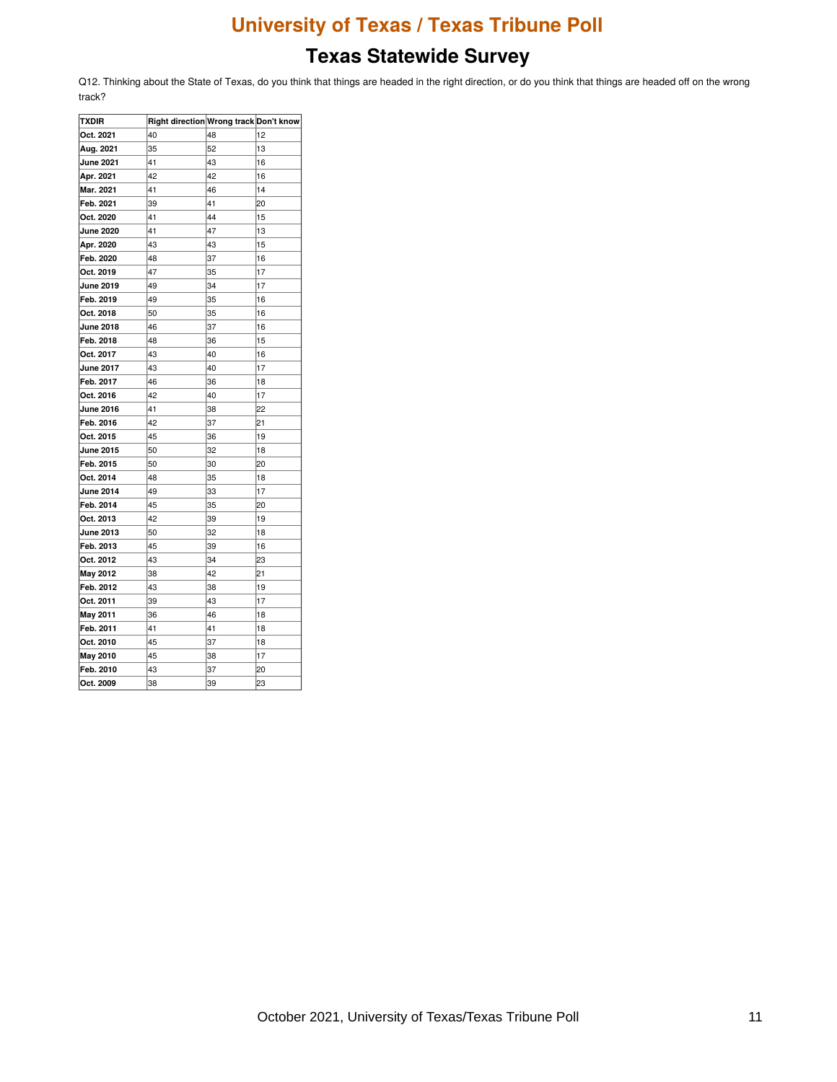### **Texas Statewide Survey**

Q12. Thinking about the State of Texas, do you think that things are headed in the right direction, or do you think that things are headed off on the wrong track?

| <b>TXDIR</b>     | Right direction Wrong track Don't know |    |    |
|------------------|----------------------------------------|----|----|
| Oct. 2021        | 40                                     | 48 | 12 |
| Aug. 2021        | 35                                     | 52 | 13 |
| <b>June 2021</b> | 41                                     | 43 | 16 |
| Apr. 2021        | 42                                     | 42 | 16 |
| Mar. 2021        | 41                                     | 46 | 14 |
| Feb. 2021        | 39                                     | 41 | 20 |
| Oct. 2020        | 41                                     | 44 | 15 |
| <b>June 2020</b> | 41                                     | 47 | 13 |
| Apr. 2020        | 43                                     | 43 | 15 |
| Feb. 2020        | 48                                     | 37 | 16 |
| Oct. 2019        | 47                                     | 35 | 17 |
| <b>June 2019</b> | 49                                     | 34 | 17 |
| Feb. 2019        | 49                                     | 35 | 16 |
| Oct. 2018        | 50                                     | 35 | 16 |
| <b>June 2018</b> | 46                                     | 37 | 16 |
| Feb. 2018        | 48                                     | 36 | 15 |
| Oct. 2017        | 43                                     | 40 | 16 |
| <b>June 2017</b> | 43                                     | 40 | 17 |
| Feb. 2017        | 46                                     | 36 | 18 |
| Oct. 2016        | 42                                     | 40 | 17 |
| <b>June 2016</b> | 41                                     | 38 | 22 |
| Feb. 2016        | 42                                     | 37 | 21 |
| Oct. 2015        | 45                                     | 36 | 19 |
| <b>June 2015</b> | 50                                     | 32 | 18 |
| Feb. 2015        | 50                                     | 30 | 20 |
| Oct. 2014        | 48                                     | 35 | 18 |
| <b>June 2014</b> | 49                                     | 33 | 17 |
| Feb. 2014        | 45                                     | 35 | 20 |
| Oct. 2013        | 42                                     | 39 | 19 |
| <b>June 2013</b> | 50                                     | 32 | 18 |
| Feb. 2013        | 45                                     | 39 | 16 |
| Oct. 2012        | 43                                     | 34 | 23 |
| May 2012         | 38                                     | 42 | 21 |
| Feb. 2012        | 43                                     | 38 | 19 |
| Oct. 2011        | 39                                     | 43 | 17 |
| May 2011         | 36                                     | 46 | 18 |
| Feb. 2011        | 41                                     | 41 | 18 |
| Oct. 2010        | 45                                     | 37 | 18 |
| <b>May 2010</b>  | 45                                     | 38 | 17 |
| Feb. 2010        | 43                                     | 37 | 20 |
| Oct. 2009        | 38                                     | 39 | 23 |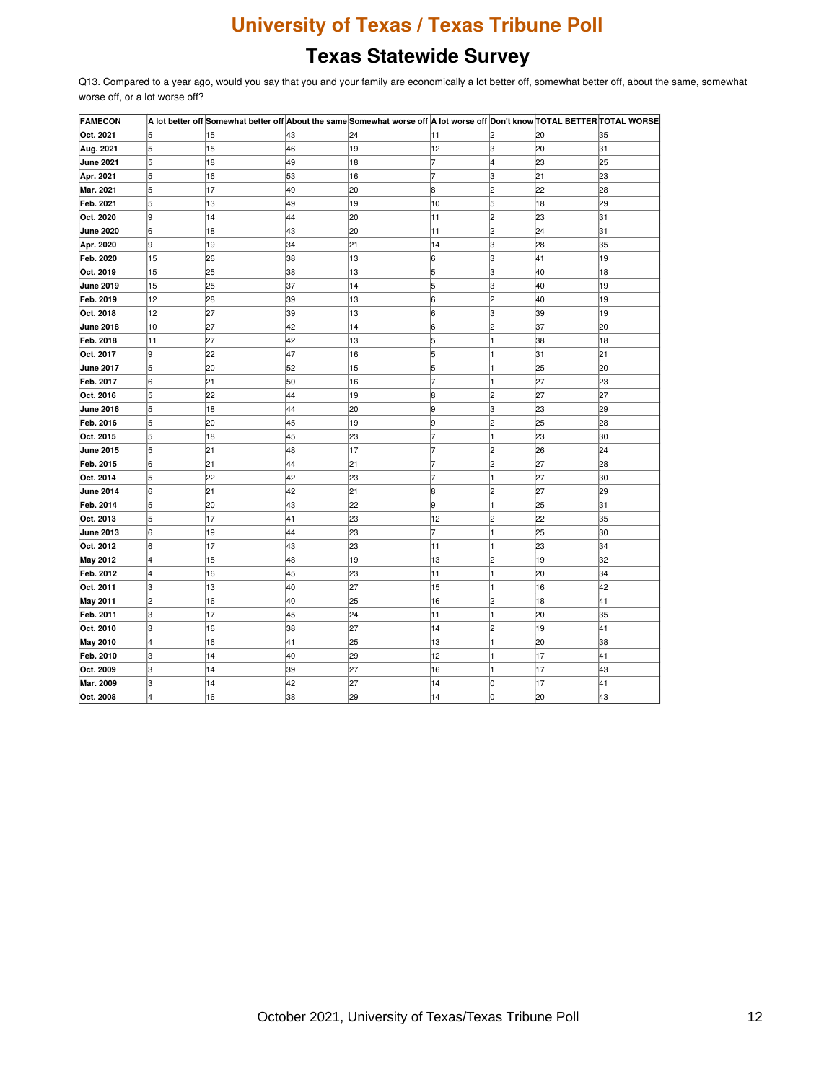# **Texas Statewide Survey**

Q13. Compared to a year ago, would you say that you and your family are economically a lot better off, somewhat better off, about the same, somewhat worse off, or a lot worse off?

| <b>FAMECON</b>   |    |    |    | A lot better off Somewhat better off About the same Somewhat worse off A lot worse off Don't know TOTAL BETTER TOTAL WORSE |                |                |     |     |
|------------------|----|----|----|----------------------------------------------------------------------------------------------------------------------------|----------------|----------------|-----|-----|
| Oct. 2021        | 5  | 15 | 43 | 24                                                                                                                         | 11             |                | 20  | 35  |
| Aug. 2021        | 5  | 15 | 46 | 19                                                                                                                         | 12             | з              | 20  | 31  |
| <b>June 2021</b> | 5  | 18 | 49 | 18                                                                                                                         |                | 4              | 23  | 25  |
| Apr. 2021        | 5  | 16 | 53 | 16                                                                                                                         | $\overline{7}$ | З              | 121 | l23 |
| Mar. 2021        | 5  | 17 | 49 | 20                                                                                                                         | 8              | 2              | 22  | 28  |
| Feb. 2021        | 5  | 13 | 49 | 19                                                                                                                         | 10             | 5              | 18  | 29  |
| Oct. 2020        | l9 | 14 | 44 | 20                                                                                                                         | 11             | $\overline{c}$ | 23  | 31  |
| <b>June 2020</b> | l6 | 18 | 43 | 20                                                                                                                         | 11             | 2              | 24  | 31  |
| Apr. 2020        | 9  | 19 | 34 | 21                                                                                                                         | 14             | З              | 28  | 35  |
| Feb. 2020        | 15 | 26 | 38 | 13                                                                                                                         | 6              | З              | 41  | 19  |
| Oct. 2019        | 15 | 25 | 38 | 13                                                                                                                         | 5              | з              | 40  | 18  |
| <b>June 2019</b> | 15 | 25 | 37 | 14                                                                                                                         | 5              | З              | 40  | 19  |
| Feb. 2019        | 12 | 28 | 39 | 13                                                                                                                         | 6              | 2              | 40  | 19  |
| Oct. 2018        | 12 | 27 | 39 | 13                                                                                                                         | 6              | 3              | 39  | 19  |
| <b>June 2018</b> | 10 | 27 | 42 | 14                                                                                                                         | 6              | 2              | 37  | 20  |
| Feb. 2018        | 11 | 27 | 42 | 13                                                                                                                         | 5              |                | 38  | 18  |
| Oct. 2017        | 9  | 22 | 47 | 16                                                                                                                         | 5              |                | 31  | 21  |
| <b>June 2017</b> | 5  | 20 | 52 | 15                                                                                                                         | 5              |                | 25  | 20  |
| Feb. 2017        | 6  | 21 | 50 | 16                                                                                                                         |                |                | 27  | 23  |
| Oct. 2016        | 5  | 22 | 44 | 19                                                                                                                         | 8              | 2              | 27  | 27  |
| <b>June 2016</b> | 5  | 18 | 44 | 20                                                                                                                         | 9              | з              | 23  | 29  |
| Feb. 2016        | 5  | 20 | 45 | 19                                                                                                                         | 9              | 2              | 25  | 28  |
| Oct. 2015        | 5  | 18 | 45 | 23                                                                                                                         |                |                | 23  | 30  |
| <b>June 2015</b> | 5  | 21 | 48 | 17                                                                                                                         | 7              | 2              | 26  | 24  |
| Feb. 2015        | 6  | 21 | 44 | 21                                                                                                                         |                | 2              | 27  | 28  |
| Oct. 2014        | 5  | 22 | 42 | 23                                                                                                                         |                |                | 27  | 30  |
| <b>June 2014</b> | 6  | 21 | 42 | 21                                                                                                                         | 8              | 2              | 27  | 29  |
| Feb. 2014        | 5  | 20 | 43 | 22                                                                                                                         | g              |                | 25  | 31  |
| Oct. 2013        | 5  | 17 | 41 | 23                                                                                                                         | 12             | 2              | 22  | 35  |
| <b>June 2013</b> | 6  | 19 | 44 | 23                                                                                                                         | 7              | 1              | 25  | 30  |
| Oct. 2012        | 6  | 17 | 43 | 23                                                                                                                         | 11             |                | 23  | 34  |
| <b>May 2012</b>  | 4  | 15 | 48 | 19                                                                                                                         | 13             | $\overline{c}$ | 19  | 32  |
| Feb. 2012        | 4  | 16 | 45 | 23                                                                                                                         | 11             |                | 120 | 34  |
| Oct. 2011        | З  | 13 | 40 | 27                                                                                                                         | 15             |                | 16  | 42  |
| <b>May 2011</b>  | 2  | 16 | 40 | 25                                                                                                                         | 16             | 2              | 18  | 41  |
| Feb. 2011        | З  | 17 | 45 | 24                                                                                                                         | 11             |                | l20 | 35  |
| Oct. 2010        | З  | 16 | 38 | 27                                                                                                                         | 14             | 2              | 19  | 41  |
| <b>May 2010</b>  | 4  | 16 | 41 | 25                                                                                                                         | 13             | 1              | 20  | 38  |
| Feb. 2010        | з  | 14 | 40 | 29                                                                                                                         | 12             |                | 17  | 41  |
| Oct. 2009        | З  | 14 | 39 | 27                                                                                                                         | 16             |                | 17  | 43  |
| Mar. 2009        | З  | 14 | 42 | 27                                                                                                                         | 14             | O              | 17  | 41  |
| Oct. 2008        | 4  | 16 | 38 | 29                                                                                                                         | 14             | lо             | 20  | 43  |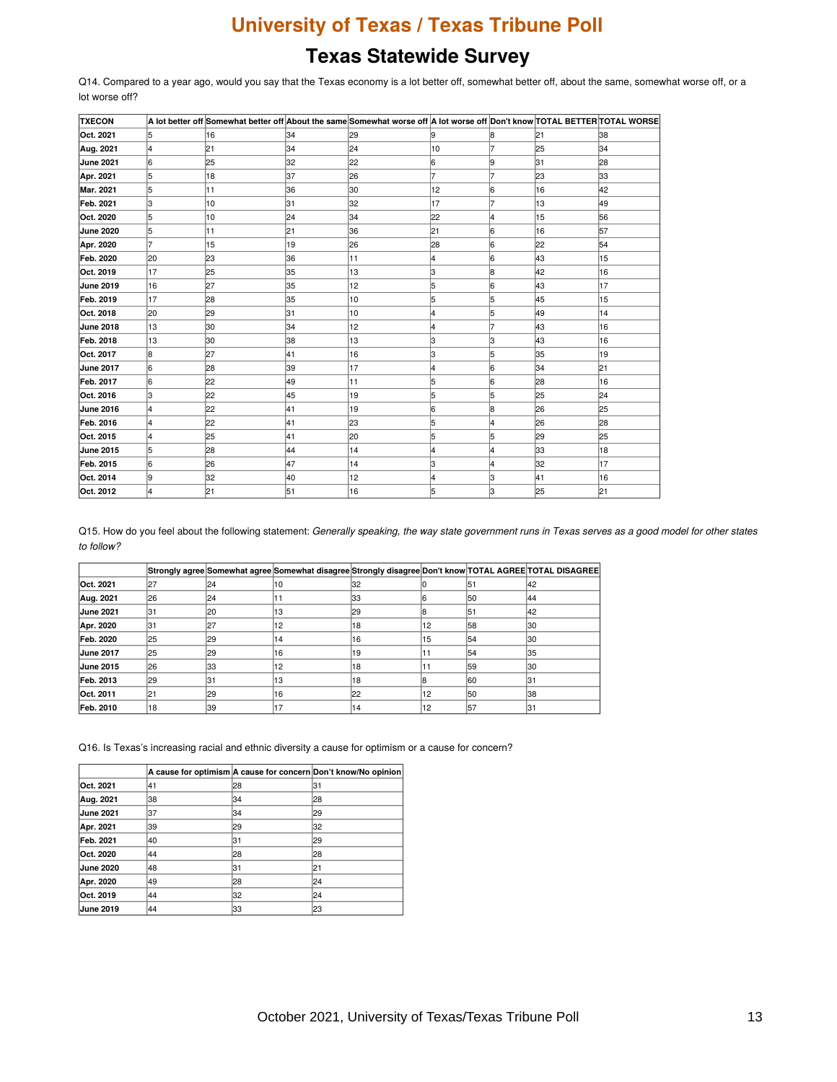### **Texas Statewide Survey**

Q14. Compared to a year ago, would you say that the Texas economy is a lot better off, somewhat better off, about the same, somewhat worse off, or a lot worse off?

| <b>TXECON</b>    |    |     |    | A lot better off Somewhat better off About the same Somewhat worse off A lot worse off Don't know TOTAL BETTER TOTAL WORSE |    |    |     |    |
|------------------|----|-----|----|----------------------------------------------------------------------------------------------------------------------------|----|----|-----|----|
| Oct. 2021        |    | 16  | 34 | 29                                                                                                                         |    |    | 21  | 38 |
| Aug. 2021        | 4  | 21  | 34 | 24                                                                                                                         | 10 |    | 25  | 34 |
| <b>June 2021</b> | 6  | 25  | 32 | 22                                                                                                                         | 6  |    | 31  | 28 |
| Apr. 2021        | 5  | 18  | 37 | 26                                                                                                                         |    |    | 23  | 33 |
| Mar. 2021        | 5  | 11  | 36 | 30                                                                                                                         | 12 | 6  | 16  | 42 |
| Feb. 2021        | 3  | 10  | 31 | 32                                                                                                                         | 17 |    | 13  | 49 |
| Oct. 2020        | 5  | 10  | 24 | 34                                                                                                                         | 22 |    | 15  | 56 |
| <b>June 2020</b> | 5  | 11  | 21 | 36                                                                                                                         | 21 | 16 | 16  | 57 |
| Apr. 2020        |    | 15  | 19 | 26                                                                                                                         | 28 | 16 | 22  | 54 |
| Feb. 2020        | 20 | 23  | 36 | 11                                                                                                                         | 14 | 6  | 43  | 15 |
| Oct. 2019        | 17 | 25  | 35 | 13                                                                                                                         | lЗ | 18 | 42  | 16 |
| <b>June 2019</b> | 16 | 27  | 35 | 12                                                                                                                         | 5  | 16 | 43  | 17 |
| Feb. 2019        | 17 | 28  | 35 | 10                                                                                                                         |    |    | 45  | 15 |
| Oct. 2018        | 20 | 29  | 31 | 10                                                                                                                         |    |    | 49  | 14 |
| <b>June 2018</b> | 13 | 30  | 34 | 12                                                                                                                         |    |    | 43  | 16 |
| Feb. 2018        | 13 | 130 | 38 | 13                                                                                                                         | IЗ | IЗ | 43  | 16 |
| Oct. 2017        | 8  | 27  | 41 | 16                                                                                                                         | IЗ | 5  | 35  | 19 |
| <b>June 2017</b> | 6  | 28  | 39 | 17                                                                                                                         |    | 16 | 34  | 21 |
| Feb. 2017        | 6  | 22  | 49 | 11                                                                                                                         | 5  | 16 | 28  | 16 |
| Oct. 2016        | З  | 22  | 45 | 19                                                                                                                         | 5  |    | 25  | 24 |
| <b>June 2016</b> | 4  | 22  | 41 | 19                                                                                                                         | l6 | 18 | 126 | 25 |
| Feb. 2016        |    | 22  | 41 | 23                                                                                                                         | 5  |    | 26  | 28 |
| Oct. 2015        | 4  | 25  | 41 | 20                                                                                                                         | 5  |    | 29  | 25 |
| <b>June 2015</b> | 5  | 28  | 44 | 14                                                                                                                         |    | 4  | l33 | 18 |
| Feb. 2015        | 6  | 26  | 47 | 14                                                                                                                         | lЗ |    | 32  | 17 |
| Oct. 2014        | l9 | 32  | 40 | 12                                                                                                                         |    | з  | 41  | 16 |
| Oct. 2012        |    | 21  | 51 | 16                                                                                                                         | 15 | з  | 25  | 21 |

Q15. How do you feel about the following statement: Generally speaking, the way state government runs in Texas serves as a good model for other states *to follow?*

|                  |     |     | Strongly agree Somewhat agree Somewhat disagree Strongly disagree Don't know TOTAL AGREE TOTAL DISAGREE |     |     |     |     |
|------------------|-----|-----|---------------------------------------------------------------------------------------------------------|-----|-----|-----|-----|
| Oct. 2021        | 127 | 24  | 10                                                                                                      | 132 |     | 151 | 142 |
| Aug. 2021        | 126 | 24  | ו ו                                                                                                     | 133 |     | l50 | 44  |
| <b>June 2021</b> | 131 | 120 | '13                                                                                                     | 129 |     | 151 | 42  |
| Apr. 2020        | 131 | 127 | '12                                                                                                     | 18  | 12  | 58  | 130 |
| Feb. 2020        | 125 | 129 | 14                                                                                                      | 16  | 15  | 154 | 130 |
| <b>June 2017</b> | 125 | 129 | 16                                                                                                      | 19  |     | 54  | 35  |
| <b>June 2015</b> | 126 | 133 | 12                                                                                                      | '18 |     | 59  | 130 |
| Feb. 2013        | 29  | 131 | 13                                                                                                      | 118 |     | 160 | 131 |
| Oct. 2011        | 121 | 129 | 16                                                                                                      | 22  | 112 | l50 | 138 |
| Feb. 2010        | 18  | 139 | 17                                                                                                      | '14 | 12  | 157 | 131 |

Q16. Is Texas's increasing racial and ethnic diversity a cause for optimism or a cause for concern?

|                  |     |    | A cause for optimism A cause for concern Don't know/No opinion |
|------------------|-----|----|----------------------------------------------------------------|
| Oct. 2021        | 141 | 28 | 31                                                             |
| Aug. 2021        | 38  | 34 | 28                                                             |
| <b>June 2021</b> | 37  | 34 | 29                                                             |
| Apr. 2021        | 39  | 29 | 32                                                             |
| Feb. 2021        | 40  | 31 | 29                                                             |
| Oct. 2020        | 44  | 28 | 28                                                             |
| <b>June 2020</b> | 48  | 31 | 21                                                             |
| Apr. 2020        | 49  | 28 | 24                                                             |
| Oct. 2019        | 44  | 32 | 24                                                             |
| <b>June 2019</b> | 44  | 33 | 23                                                             |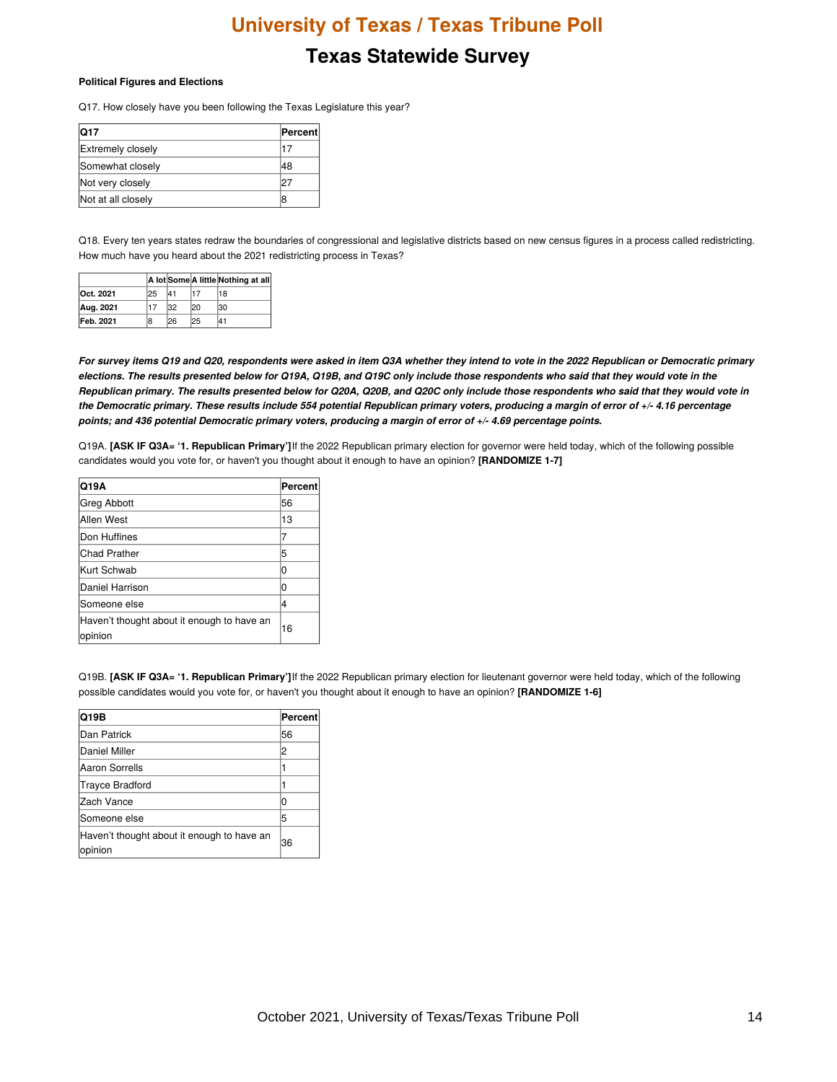#### **Texas Statewide Survey**

#### **Political Figures and Elections**

Q17. How closely have you been following the Texas Legislature this year?

| <b>Q17</b>               | Percent |
|--------------------------|---------|
| <b>Extremely closely</b> |         |
| Somewhat closely         | 48      |
| Not very closely         | רי.     |
| Not at all closely       |         |

Q18. Every ten years states redraw the boundaries of congressional and legislative districts based on new census figures in a process called redistricting. How much have you heard about the 2021 redistricting process in Texas?

|           |     |     |     | A lot Some A little Nothing at all |
|-----------|-----|-----|-----|------------------------------------|
| Oct. 2021 | 125 | 41  |     | 18                                 |
| Aug. 2021 |     | 32  | 120 | 130                                |
| Feb. 2021 | 18  | 126 | 125 | 141                                |

For survey items Q19 and Q20, respondents were asked in item Q3A whether they intend to vote in the 2022 Republican or Democratic primary elections. The results presented below for Q19A, Q19B, and Q19C only include those respondents who said that they would vote in the Republican primary. The results presented below for Q20A, Q20B, and Q20C only include those respondents who said that they would vote in the Democratic primary. These results include 554 potential Republican primary voters, producing a margin of error of +/- 4.16 percentage points; and 436 potential Democratic primary voters, producing a margin of error of +/- 4.69 percentage points.

Q19A. **[ASK IF Q3A= '1. Republican Primary']**If the 2022 Republican primary election for governor were held today, which of the following possible candidates would you vote for, or haven't you thought about it enough to have an opinion? **[RANDOMIZE 1-7]**

| Q19A                                                  | Percent |
|-------------------------------------------------------|---------|
| Greg Abbott                                           | 56      |
| Allen West                                            | 13      |
| Don Huffines                                          |         |
| <b>Chad Prather</b>                                   | 5       |
| Kurt Schwab                                           |         |
| Daniel Harrison                                       |         |
| <b>Someone else</b>                                   | 4       |
| Haven't thought about it enough to have an<br>opinion | 16      |

Q19B. **[ASK IF Q3A= '1. Republican Primary']**If the 2022 Republican primary election for lieutenant governor were held today, which of the following possible candidates would you vote for, or haven't you thought about it enough to have an opinion? **[RANDOMIZE 1-6]**

| Q19B                                                  | Percent |
|-------------------------------------------------------|---------|
| Dan Patrick                                           | 56      |
| Daniel Miller                                         | 2       |
| Aaron Sorrells                                        |         |
| Trayce Bradford                                       |         |
| Zach Vance                                            |         |
| lSomeone else                                         | 5       |
| Haven't thought about it enough to have an<br>opinion | 36      |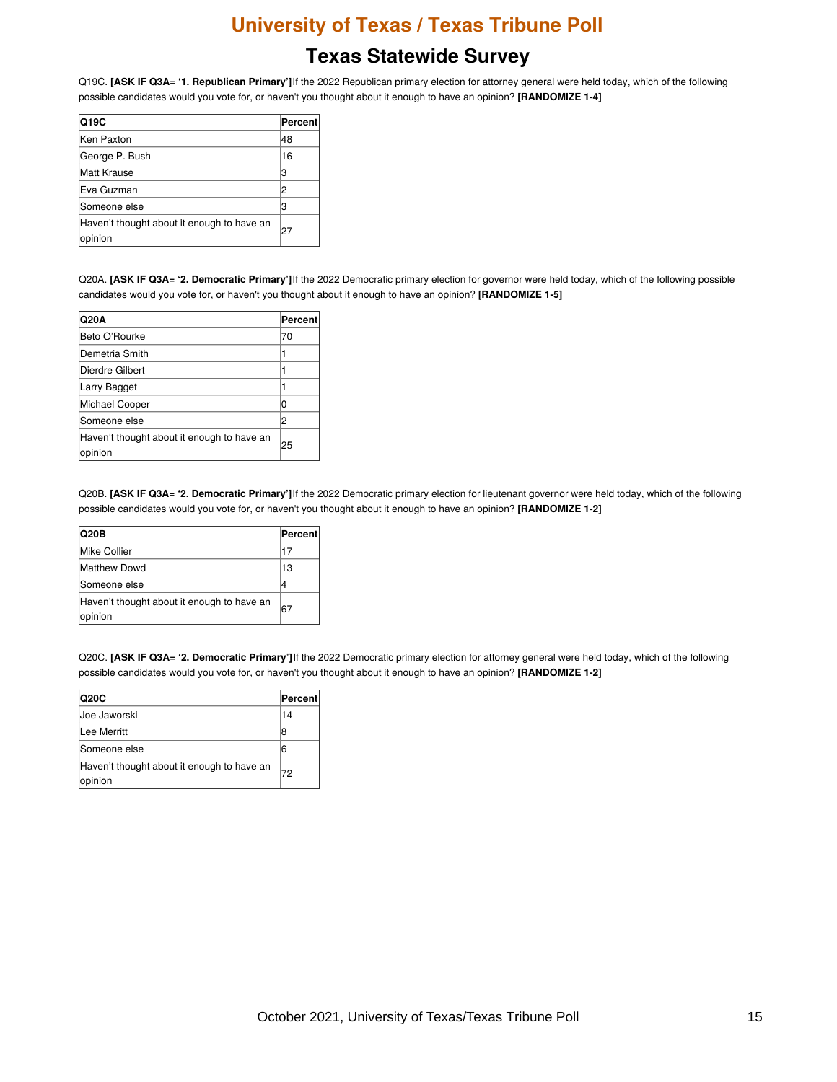## **Texas Statewide Survey**

Q19C. **[ASK IF Q3A= '1. Republican Primary']**If the 2022 Republican primary election for attorney general were held today, which of the following possible candidates would you vote for, or haven't you thought about it enough to have an opinion? **[RANDOMIZE 1-4]**

| Q19C                                                  | Percent |
|-------------------------------------------------------|---------|
| Ken Paxton                                            | 48      |
| George P. Bush                                        | 16      |
| Matt Krause                                           | l3      |
| Eva Guzman                                            | 2       |
| Someone else                                          | l3      |
| Haven't thought about it enough to have an<br>opinion | 27      |

Q20A. **[ASK IF Q3A= '2. Democratic Primary']**If the 2022 Democratic primary election for governor were held today, which of the following possible candidates would you vote for, or haven't you thought about it enough to have an opinion? **[RANDOMIZE 1-5]**

| Q20A                                                  | Percent |
|-------------------------------------------------------|---------|
| Beto O'Rourke                                         | 70      |
| lDemetria Smith                                       |         |
| Dierdre Gilbert                                       |         |
| Larry Bagget                                          |         |
| Michael Cooper                                        |         |
| Someone else                                          | 2       |
| Haven't thought about it enough to have an<br>opinion | 25      |

Q20B. **[ASK IF Q3A= '2. Democratic Primary']**If the 2022 Democratic primary election for lieutenant governor were held today, which of the following possible candidates would you vote for, or haven't you thought about it enough to have an opinion? **[RANDOMIZE 1-2]**

| <b>Q20B</b>                                           | <b>Percent</b> |
|-------------------------------------------------------|----------------|
| Mike Collier                                          | 17             |
| <b>Matthew Dowd</b>                                   | 13             |
| Someone else                                          |                |
| Haven't thought about it enough to have an<br>opinion | 67             |

Q20C. **[ASK IF Q3A= '2. Democratic Primary']**If the 2022 Democratic primary election for attorney general were held today, which of the following possible candidates would you vote for, or haven't you thought about it enough to have an opinion? **[RANDOMIZE 1-2]**

| Q20C                                                  | Percent |
|-------------------------------------------------------|---------|
| Uoe Jaworski                                          | 14      |
| Lee Merritt                                           | 8       |
| <b>Someone else</b>                                   | 6       |
| Haven't thought about it enough to have an<br>opinion | 72      |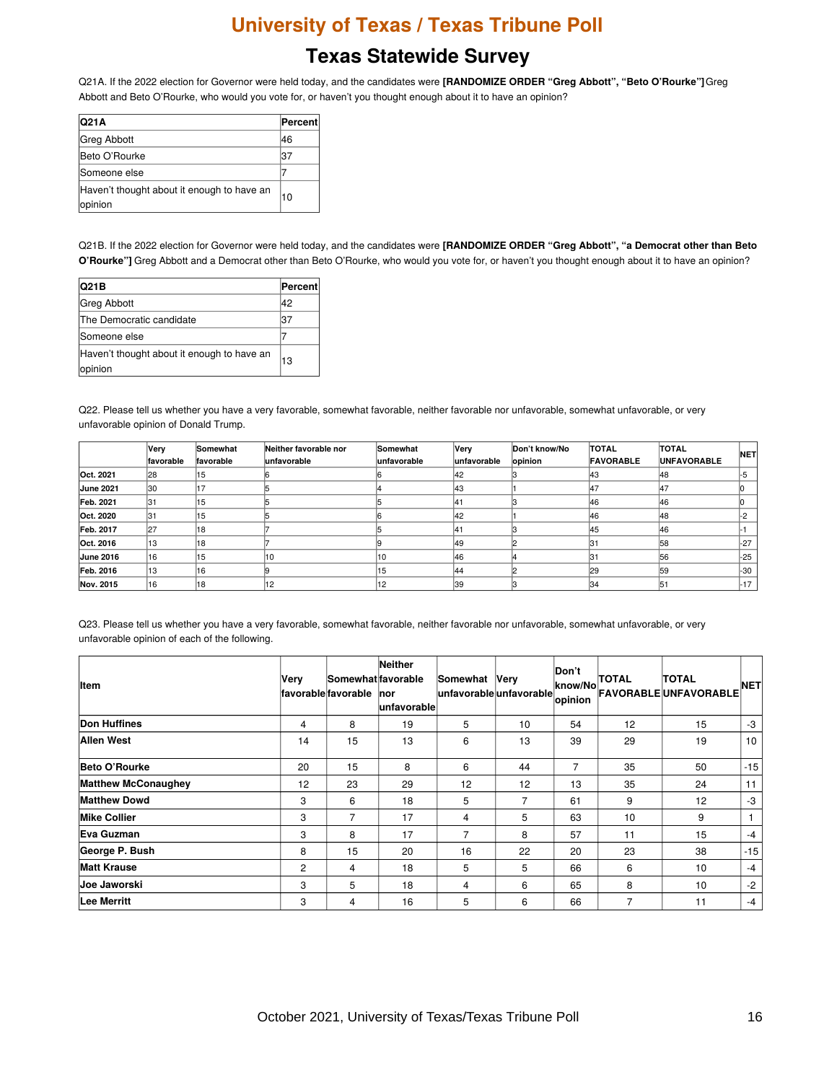#### **Texas Statewide Survey**

Q21A. If the 2022 election for Governor were held today, and the candidates were **[RANDOMIZE ORDER "Greg Abbott", "Beto O'Rourke"]**Greg Abbott and Beto O'Rourke, who would you vote for, or haven't you thought enough about it to have an opinion?

| Q21A                                                  | Percent |
|-------------------------------------------------------|---------|
| Greg Abbott                                           | 46      |
| Beto O'Rourke                                         | 37      |
| <b>Someone else</b>                                   |         |
| Haven't thought about it enough to have an<br>opinion | 10      |

Q21B. If the 2022 election for Governor were held today, and the candidates were **[RANDOMIZE ORDER "Greg Abbott", "a Democrat other than Beto O'Rourke"]** Greg Abbott and a Democrat other than Beto O'Rourke, who would you vote for, or haven't you thought enough about it to have an opinion?

| Q21B                                                   | Percent |
|--------------------------------------------------------|---------|
| Greg Abbott                                            | 42      |
| <b>The Democratic candidate</b>                        | 37      |
| <b>Someone else</b>                                    |         |
| Haven't thought about it enough to have an<br>lopinion | 13      |

Q22. Please tell us whether you have a very favorable, somewhat favorable, neither favorable nor unfavorable, somewhat unfavorable, or very unfavorable opinion of Donald Trump.

|                  | Very<br>favorable | Somewhat<br>favorable | Neither favorable nor<br>unfavorable | Somewhat<br>lunfavorable | <b>Very</b><br>lunfavorable | Don't know/No<br>opinion | <b>TOTAL</b><br><b>FAVORABLE</b> | <b>TOTAL</b><br><b>UNFAVORABLE</b> | <b>NET</b> |
|------------------|-------------------|-----------------------|--------------------------------------|--------------------------|-----------------------------|--------------------------|----------------------------------|------------------------------------|------------|
| Oct. 2021        | 28                | 15                    |                                      |                          | 42                          |                          | 143                              | 148                                |            |
| <b>June 2021</b> | 130               |                       |                                      |                          | 143                         |                          | 147                              | 147                                |            |
| Feb. 2021        | 31                | 15                    |                                      |                          | 41                          |                          | 146                              | 146                                |            |
| Oct. 2020        | 31                | 15                    |                                      |                          | 42                          |                          | 46                               | 148                                |            |
| Feb. 2017        | 27                | 18                    |                                      |                          | 41                          |                          | 145                              | 46                                 |            |
| Oct. 2016        | 13                | 18                    |                                      |                          | 149                         |                          | 131                              | 158                                | $1 - 27$   |
| <b>June 2016</b> | 16                | 15                    | 10                                   | 10                       | 146                         |                          | I3.                              | 56                                 | $-25$      |
| Feb. 2016        | 13                | 16                    |                                      | 15                       | 144                         |                          | 29                               | 159                                | -30        |
| Nov. 2015        | 16                | 18                    | 12                                   | 12                       | 39                          |                          | 134                              | 151                                | $-17$      |

Q23. Please tell us whether you have a very favorable, somewhat favorable, neither favorable nor unfavorable, somewhat unfavorable, or very unfavorable opinion of each of the following.

| <b>Item</b>                | Very           | Somewhat favorable<br><b>Ifavorable favorable</b> | Neither<br><b>nor</b><br><b>lunfavorablel</b> | Somewhat<br>unfavorable unfavorable | Very | Don't<br>know/No<br>opinion | <b>TOTAL</b> | <b>TOTAL</b><br><b>FAVORABLEUNFAVORABLE</b> | <b>NETI</b> |
|----------------------------|----------------|---------------------------------------------------|-----------------------------------------------|-------------------------------------|------|-----------------------------|--------------|---------------------------------------------|-------------|
| <b>Don Huffines</b>        | 4              | 8                                                 | 19                                            | 5                                   | 10   | 54                          | 12           | 15                                          | -3          |
| Allen West                 | 14             | 15                                                | 13                                            | 6                                   | 13   | 39                          | 29           | 19                                          | 10          |
| Beto O'Rourke              | 20             | 15                                                | 8                                             | 6                                   | 44   | 7                           | 35           | 50                                          | $-15$       |
| <b>Matthew McConaughey</b> | 12             | 23                                                | 29                                            | 12                                  | 12   | 13                          | 35           | 24                                          | 11          |
| <b>Matthew Dowd</b>        | 3              | 6                                                 | 18                                            | 5                                   | 7    | 61                          | 9            | 12                                          | $-3$        |
| <b>Mike Collier</b>        | 3              | 7                                                 | 17                                            | 4                                   | 5    | 63                          | 10           | 9                                           |             |
| Eva Guzman                 | 3              | 8                                                 | 17                                            | 7                                   | 8    | 57                          | 11           | 15                                          | $-4$        |
| George P. Bush             | 8              | 15                                                | 20                                            | 16                                  | 22   | 20                          | 23           | 38                                          | $-15$       |
| <b>Matt Krause</b>         | $\overline{2}$ | 4                                                 | 18                                            | 5                                   | 5    | 66                          | 6            | 10                                          | $-4$        |
| <b>Joe Jaworski</b>        | 3              | 5                                                 | 18                                            | 4                                   | 6    | 65                          | 8            | 10                                          | $-2$        |
| Lee Merritt                | 3              | 4                                                 | 16                                            | 5                                   | 6    | 66                          | 7            | 11                                          | $-4$        |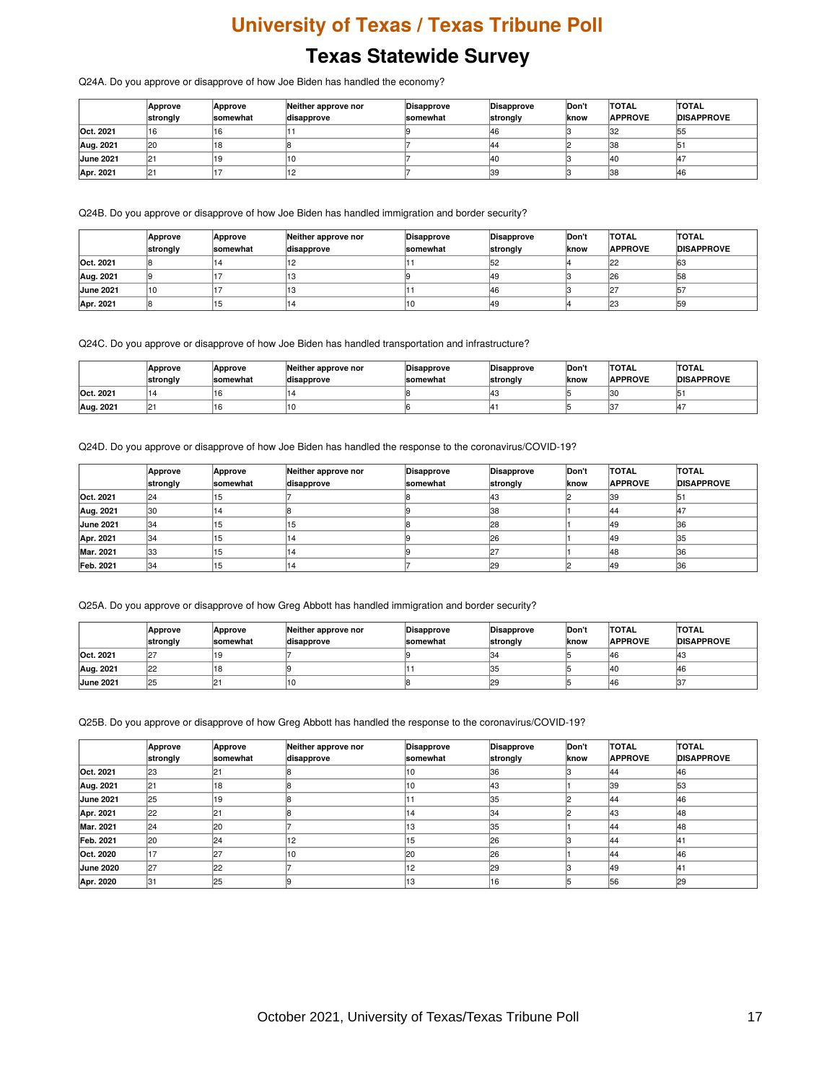Q24A. Do you approve or disapprove of how Joe Biden has handled the economy?

|                  | Approve<br>strongly | Approve<br>somewhat | Neither approve nor<br>disapprove | Disapprove<br><b>somewhat</b> | Disapprove<br>strongly | Don't<br><b>Iknow</b> | <b>TOTAL</b><br><b>APPROVE</b> | <b>TOTAL</b><br><b>DISAPPROVE</b> |
|------------------|---------------------|---------------------|-----------------------------------|-------------------------------|------------------------|-----------------------|--------------------------------|-----------------------------------|
| Oct. 2021        | 16                  | 16                  |                                   |                               | 146                    |                       | 132                            | 155                               |
| Aug. 2021        | 20                  | 118                 |                                   |                               | 144                    |                       | 138                            | lb.                               |
| <b>June 2021</b> | 121                 | 19                  | '10                               |                               | 140                    |                       | 140                            | 14                                |
| Apr. 2021        | 121                 |                     |                                   |                               | 39                     |                       | 38                             | 146                               |

Q24B. Do you approve or disapprove of how Joe Biden has handled immigration and border security?

|                  | Approve<br>strongly | Approve<br><b>somewhat</b> | Neither approve nor<br>disapprove | Disapprove<br>somewhat | Disapprove<br>strongly | Don't<br>lknow | <b>TOTAL</b><br><b>APPROVE</b> | <b>TOTAL</b><br><b>DISAPPROVE</b> |
|------------------|---------------------|----------------------------|-----------------------------------|------------------------|------------------------|----------------|--------------------------------|-----------------------------------|
| Oct. 2021        |                     |                            |                                   |                        | 52                     |                |                                | 163                               |
| Aug. 2021        |                     |                            | 13                                |                        | 49                     |                | 126                            | 58                                |
| <b>June 2021</b> | 10                  |                            | د ا                               |                        | 46                     |                |                                | 157                               |
| Apr. 2021        |                     | כ ו                        | 14                                | '10                    | 49                     |                | 23                             | 59                                |

Q24C. Do you approve or disapprove of how Joe Biden has handled transportation and infrastructure?

|           | Approve<br>∣strongly | Approve<br><b>Somewhat</b> | Neither approve nor<br>disapprove | Disapprove<br><b>somewhat</b> | Disapprove<br>strongly | Don't<br><b>Iknow</b> | <b>TOTAL</b><br><b>APPROVE</b> | <b>TOTAL</b><br><b>DISAPPROVE</b> |
|-----------|----------------------|----------------------------|-----------------------------------|-------------------------------|------------------------|-----------------------|--------------------------------|-----------------------------------|
| Oct. 2021 | 14                   |                            |                                   |                               | l43                    |                       | 130                            |                                   |
| Aug. 2021 | 21                   |                            | 10                                |                               |                        |                       |                                |                                   |

Q24D. Do you approve or disapprove of how Joe Biden has handled the response to the coronavirus/COVID-19?

|                  | Approve<br>strongly | Approve<br><b>somewhat</b> | Neither approve nor<br>disapprove | Disapprove<br>somewhat | Disapprove<br>strongly | <b>Don't</b><br>lknow | <b>TOTAL</b><br><b>APPROVE</b> | <b>TOTAL</b><br><b>DISAPPROVE</b> |
|------------------|---------------------|----------------------------|-----------------------------------|------------------------|------------------------|-----------------------|--------------------------------|-----------------------------------|
| Oct. 2021        | 24                  | 15                         |                                   |                        | 143                    |                       | 139                            | 151                               |
| Aug. 2021        | 130                 |                            |                                   |                        | 38                     |                       | 144                            | 147                               |
| <b>June 2021</b> | 134                 | 51                         | 15                                |                        | 28                     |                       | 149                            | 36                                |
| Apr. 2021        | 34                  | 15                         | 14                                |                        | 26                     |                       | 149                            | 35                                |
| Mar. 2021        | l33                 |                            | 14                                |                        | -מ                     |                       | 148                            | 36                                |
| Feb. 2021        | 134                 | 15                         | 14                                |                        | 29                     |                       | 149                            | 36                                |

Q25A. Do you approve or disapprove of how Greg Abbott has handled immigration and border security?

|                  | <b>Approve</b><br>strongly | Approve<br><b>somewhat</b> | Neither approve nor<br>disapprove | Disapprove<br><b>somewhat</b> | <b>Disapprove</b><br>strongly | Don't<br>Iknow | <b>TOTAL</b><br><b>APPROVE</b> | <b>TOTAL</b><br><b>DISAPPROVE</b> |
|------------------|----------------------------|----------------------------|-----------------------------------|-------------------------------|-------------------------------|----------------|--------------------------------|-----------------------------------|
| Oct. 2021        | 127                        |                            |                                   |                               | 34                            |                | 146                            | ن 14                              |
| Aug. 2021        | $ 22\rangle$               |                            |                                   |                               | 35                            |                | 140                            | 146                               |
| <b>June 2021</b> | 25                         |                            |                                   |                               | 29                            |                | 146                            |                                   |

Q25B. Do you approve or disapprove of how Greg Abbott has handled the response to the coronavirus/COVID-19?

|                  | Approve<br>strongly | Approve<br><b>somewhat</b> | Neither approve nor<br>disapprove | Disapprove<br><b>somewhat</b> | Disapprove<br>strongly | Don't<br>know | <b>TOTAL</b><br><b>APPROVE</b> | <b>TOTAL</b><br><b>DISAPPROVE</b> |
|------------------|---------------------|----------------------------|-----------------------------------|-------------------------------|------------------------|---------------|--------------------------------|-----------------------------------|
| Oct. 2021        | 23                  |                            |                                   | 10                            | 36                     |               | 144                            | 46                                |
| Aug. 2021        | 121                 | 18                         |                                   | 10                            | <b>43</b>              |               | 39                             | 53                                |
| <b>June 2021</b> | 25                  | 19                         |                                   |                               | 35                     |               | 144                            | 46                                |
| Apr. 2021        | 22                  | 121                        |                                   | 14                            | 34                     |               | 143                            | 48                                |
| Mar. 2021        | 24                  | 20                         |                                   | 13                            | 35                     |               | 144                            | 48                                |
| Feb. 2021        | 120                 | 24                         | 12                                | 15                            | 26                     |               | 144                            | ۱4٬                               |
| Oct. 2020        | 17                  | 27                         |                                   | 20                            | 26                     |               | 144                            | 46                                |
| <b>June 2020</b> | 27                  | 22                         |                                   | 12                            | 29                     |               | 49                             | ١4·                               |
| Apr. 2020        | 31                  | 25                         |                                   | 13                            | 16                     |               | 156                            | 29                                |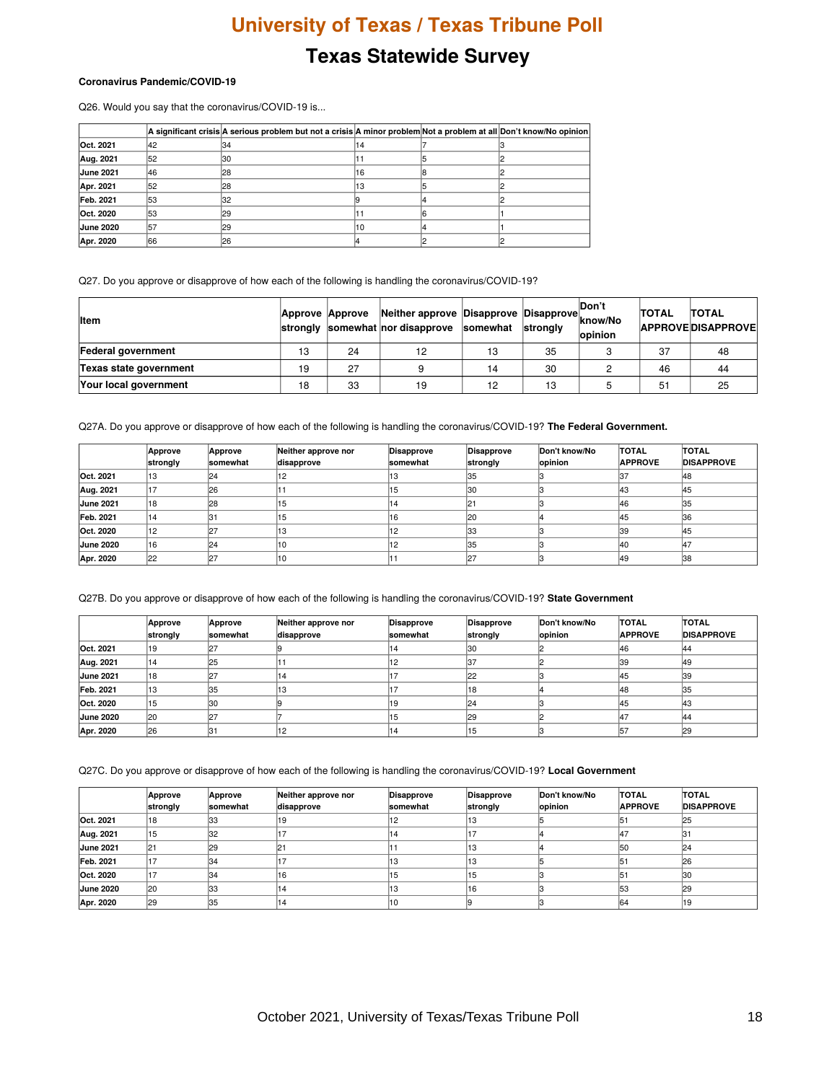### **Texas Statewide Survey**

#### **Coronavirus Pandemic/COVID-19**

Q26. Would you say that the coronavirus/COVID-19 is...

|                  |     | A significant crisis A serious problem but not a crisis A minor problem Not a problem at all Don't know/No opinion |     |  |
|------------------|-----|--------------------------------------------------------------------------------------------------------------------|-----|--|
| Oct. 2021        | 142 | 134                                                                                                                | 14  |  |
| Aug. 2021        | 52  | 130                                                                                                                |     |  |
| <b>June 2021</b> | 146 | 128                                                                                                                | 16  |  |
| Apr. 2021        | 152 | 128                                                                                                                | 13  |  |
| Feb. 2021        | 153 | 132                                                                                                                |     |  |
| Oct. 2020        | 153 | 29                                                                                                                 |     |  |
| <b>June 2020</b> | 157 | 29                                                                                                                 | '10 |  |
| Apr. 2020        | 166 | 26                                                                                                                 |     |  |

Q27. Do you approve or disapprove of how each of the following is handling the coronavirus/COVID-19?

| <b>Item</b>            | Approve Approve |    | Neither approve Disapprove Disapprove<br>strongly somewhat nor disapprove somewhat |    | strongly | Don't<br>know/No<br>opinion | <b>TOTAL</b> | <b>TOTAL</b><br><b>APPROVEDISAPPROVE</b> |
|------------------------|-----------------|----|------------------------------------------------------------------------------------|----|----------|-----------------------------|--------------|------------------------------------------|
| Federal government     | 10<br>د ا       | 24 | 12                                                                                 | 13 | 35       |                             | 37           | 48                                       |
| Texas state government | 19              | 27 |                                                                                    | 14 | 30       |                             | 46           | 44                                       |
| Your local government  | 18              | 33 | 19                                                                                 | 12 | 13       |                             | 51           | 25                                       |

Q27A. Do you approve or disapprove of how each of the following is handling the coronavirus/COVID-19? **The Federal Government.**

|                  | Approve<br>strongly | Approve<br><b>somewhat</b> | Neither approve nor<br>disapprove | Disapprove<br>somewhat | Disapprove<br>strongly | Don't know/No<br>opinion | <b>TOTAL</b><br><b>APPROVE</b> | <b>TOTAL</b><br><b>DISAPPROVE</b> |
|------------------|---------------------|----------------------------|-----------------------------------|------------------------|------------------------|--------------------------|--------------------------------|-----------------------------------|
| Oct. 2021        | 13                  | 24                         | 12                                | 3 ا                    | 135                    |                          |                                | 148                               |
| Aug. 2021        | 17                  | 126                        |                                   | 15                     | 130                    |                          | 43                             |                                   |
| <b>June 2021</b> | 18                  | 128                        | 15                                | 14                     | 21                     |                          | 46                             |                                   |
| Feb. 2021        | 14                  |                            | 15                                |                        | l20                    |                          | 145                            | 136                               |
| Oct. 2020        | 12                  |                            | 13                                |                        | 133                    |                          | 39                             | 145                               |
| <b>June 2020</b> | 16                  | 124                        | '10                               | 12                     | 135                    |                          | 140                            |                                   |
| Apr. 2020        | 22                  |                            | 110                               |                        |                        |                          | 49                             | 138                               |

Q27B. Do you approve or disapprove of how each of the following is handling the coronavirus/COVID-19? **State Government**

|                  | Approve<br>strongly | Approve<br><b>somewhat</b> | Neither approve nor<br>disapprove | Disapprove<br>somewhat | <b>Disapprove</b><br>strongly | Don't know/No<br>opinion | <b>TOTAL</b><br><b>APPROVE</b> | <b>TOTAL</b><br><b>DISAPPROVE</b> |
|------------------|---------------------|----------------------------|-----------------------------------|------------------------|-------------------------------|--------------------------|--------------------------------|-----------------------------------|
| Oct. 2021        | 19                  |                            |                                   | 114                    | 130                           |                          | 146                            | 144                               |
| Aug. 2021        | 14                  | 25                         |                                   | ے ا                    | 37                            |                          | 39                             |                                   |
| <b>June 2021</b> | 18                  |                            | 14                                |                        | 122                           |                          | 145                            | 39                                |
| Feb. 2021        | 13                  | 135                        | 13                                |                        | 18                            |                          | 48                             |                                   |
| Oct. 2020        | 15                  | 130                        |                                   |                        | 124                           |                          | 145                            |                                   |
| June 2020        | 120                 |                            |                                   | 15                     | 29                            |                          | 147                            |                                   |
| Apr. 2020        | 26                  |                            | 12                                | 14                     | 15                            |                          | 157                            |                                   |

Q27C. Do you approve or disapprove of how each of the following is handling the coronavirus/COVID-19? **Local Government**

|                  | Approve<br>strongly | Approve<br><b>somewhat</b> | Neither approve nor<br>disapprove | Disapprove<br><b>somewhat</b> | Disapprove<br>strongly | Don't know/No<br>opinion | <b>TOTAL</b><br><b>APPROVE</b> | <b>TOTAL</b><br><b>DISAPPROVE</b> |
|------------------|---------------------|----------------------------|-----------------------------------|-------------------------------|------------------------|--------------------------|--------------------------------|-----------------------------------|
| Oct. 2021        | 18                  | 133                        | 19                                |                               | ںו                     |                          |                                | 25                                |
| Aug. 2021        | 15                  | 132                        |                                   |                               |                        |                          | A7                             |                                   |
| <b>June 2021</b> | 121                 | 29                         | 121                               |                               |                        |                          | 50                             |                                   |
| Feb. 2021        |                     | 34                         |                                   |                               |                        |                          | 151                            | 26                                |
| Oct. 2020        |                     | 134                        | 16                                |                               |                        |                          | 151                            |                                   |
| <b>June 2020</b> | 120                 | 133                        | 14                                |                               |                        |                          | 153                            |                                   |
| Apr. 2020        | 29                  | 135                        | '14                               | 10                            |                        |                          | 64                             |                                   |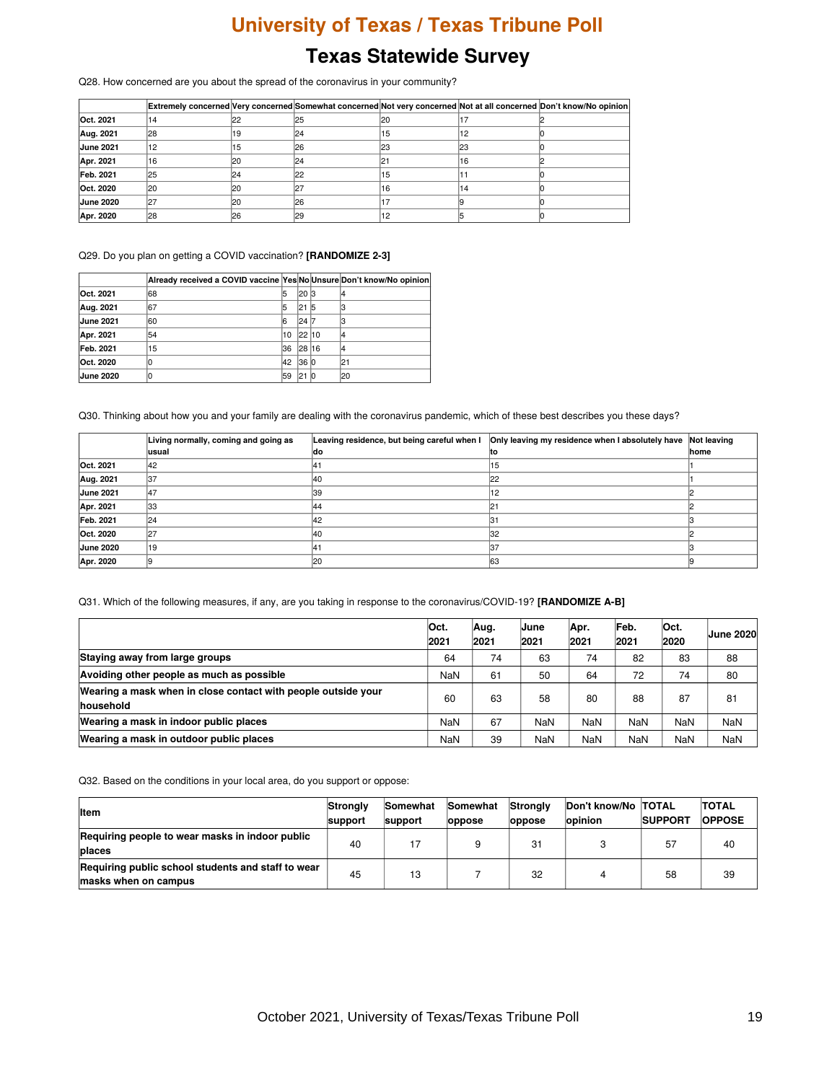Q28. How concerned are you about the spread of the coronavirus in your community?

|                  |           |            |     |     |     | Extremely concerned Very concerned Somewhat concerned Not very concerned Not at all concerned Don't know/No opinion |
|------------------|-----------|------------|-----|-----|-----|---------------------------------------------------------------------------------------------------------------------|
| Oct. 2021        | 14        | 122        | 25  | 120 |     |                                                                                                                     |
| Aug. 2021        | <b>28</b> |            | 124 | 5 ו | 12  |                                                                                                                     |
| <b>June 2021</b> | 12        |            | 26  | 123 | 123 |                                                                                                                     |
| Apr. 2021        | 116       | <b>I20</b> | 24  |     | 16  |                                                                                                                     |
| Feb. 2021        | 25        | 124        | 22  | 15  |     |                                                                                                                     |
| Oct. 2020        | l20       | 120        |     | 16  | 14  |                                                                                                                     |
| <b>June 2020</b> | 127       | 120        | 26  |     |     |                                                                                                                     |
| Apr. 2020        | 28        | 26         | 29  |     |     |                                                                                                                     |

Q29. Do you plan on getting a COVID vaccination? **[RANDOMIZE 2-3]**

|                  | Already received a COVID vaccine Yes NoUnsure Don't know/No opinion |    |         |    |     |
|------------------|---------------------------------------------------------------------|----|---------|----|-----|
| Oct. 2021        | 68                                                                  |    | l20 l3  |    |     |
| Aug. 2021        | 167                                                                 | 5  | 121     | 15 |     |
| <b>June 2021</b> | 60                                                                  |    | l24 l7  |    |     |
| Apr. 2021        | 54                                                                  | 10 | 122 110 |    |     |
| Feb. 2021        | 15                                                                  | 36 | 128 116 |    |     |
| Oct. 2020        |                                                                     | 42 | 36 0    |    | 21  |
| <b>June 2020</b> |                                                                     | 59 | 121     | 10 | l20 |

Q30. Thinking about how you and your family are dealing with the coronavirus pandemic, which of these best describes you these days?

|                  | Living normally, coming and going as | Leaving residence, but being careful when I | Only leaving my residence when I absolutely have Not leaving |      |
|------------------|--------------------------------------|---------------------------------------------|--------------------------------------------------------------|------|
|                  | lusual                               | ldo                                         | lτo                                                          | home |
| Oct. 2021        | 142                                  | 141                                         | '15                                                          |      |
| Aug. 2021        | 37                                   | 40                                          |                                                              |      |
| <b>June 2021</b> | 47                                   | 39                                          |                                                              |      |
| Apr. 2021        | 33                                   | 44                                          |                                                              |      |
| Feb. 2021        | 24                                   | 42                                          | 31                                                           |      |
| Oct. 2020        | 27                                   | 40                                          | 32                                                           |      |
| <b>June 2020</b> | 19                                   | 14                                          |                                                              |      |
| Apr. 2020        |                                      | 120                                         | 163                                                          |      |

Q31. Which of the following measures, if any, are you taking in response to the coronavirus/COVID-19? **[RANDOMIZE A-B]**

|                                                                            | lOct.<br>2021 | Aug.<br>2021 | IJune<br>2021 | Apr.<br>2021 | Feb.<br>2021 | Oct.<br>2020 | <b>June 2020</b> |
|----------------------------------------------------------------------------|---------------|--------------|---------------|--------------|--------------|--------------|------------------|
| Staying away from large groups                                             | 64            | 74           | 63            | 74           | 82           | 83           | 88               |
| Avoiding other people as much as possible                                  | NaN           | 61           | 50            | 64           | 72           | 74           | 80               |
| Wearing a mask when in close contact with people outside your<br>household | 60            | 63           | 58            | 80           | 88           | 87           | 81               |
| Wearing a mask in indoor public places                                     | NaN           | 67           | NaN           | <b>NaN</b>   | NaN          | NaN          | <b>NaN</b>       |
| Wearing a mask in outdoor public places                                    | <b>NaN</b>    | 39           | <b>NaN</b>    | <b>NaN</b>   | NaN          | NaN          | NaN              |

Q32. Based on the conditions in your local area, do you support or oppose:

| <b>Item</b>                                                                | Stronaly<br><b>support</b> | Somewhat<br>support | Somewhat<br><b>loppose</b> | Stronaly<br><b>loppose</b> | Don't know/No TOTAL<br>opinion | <b>SUPPORT</b> | <b>TOTAL</b><br><b>OPPOSE</b> |
|----------------------------------------------------------------------------|----------------------------|---------------------|----------------------------|----------------------------|--------------------------------|----------------|-------------------------------|
| Requiring people to wear masks in indoor public<br><b>places</b>           | 40                         |                     |                            | 31                         |                                | 57             | 40                            |
| Requiring public school students and staff to wear<br>masks when on campus | 45                         | 13                  |                            | 32                         |                                | 58             | 39                            |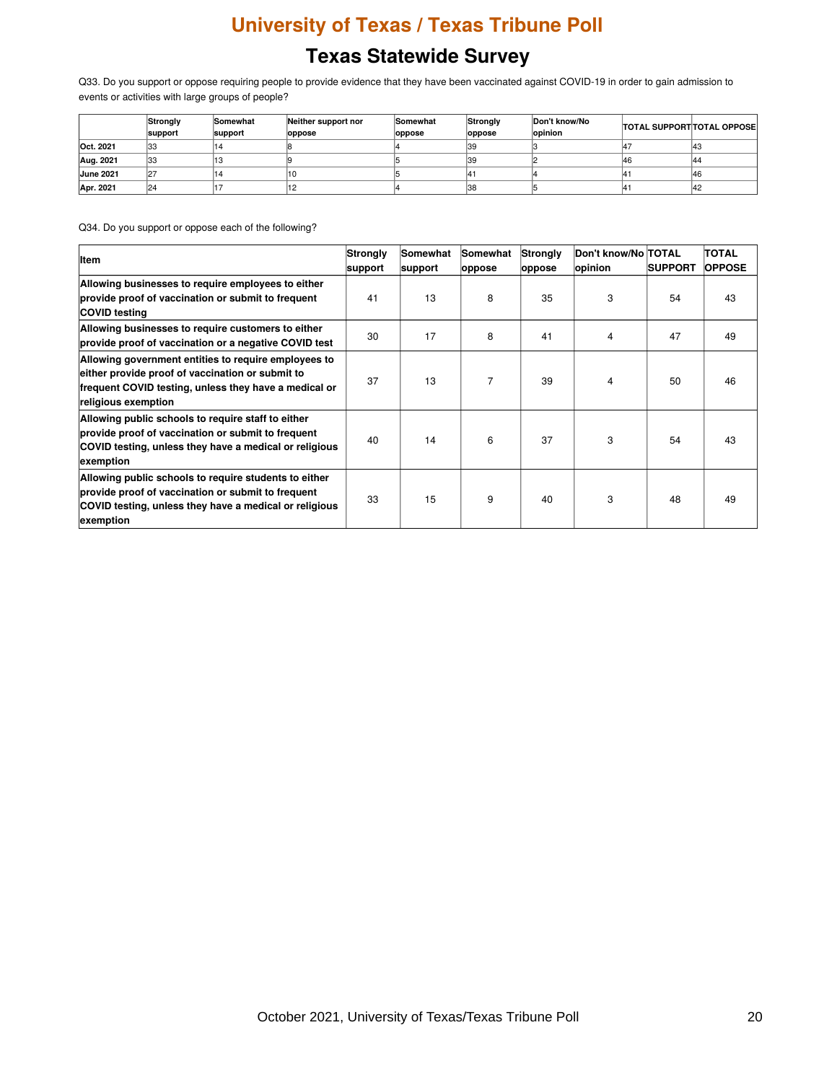Q33. Do you support or oppose requiring people to provide evidence that they have been vaccinated against COVID-19 in order to gain admission to events or activities with large groups of people?

|                  | Strongly<br>support | Somewhat<br>support | Neither support nor<br>oppose | Somewhat<br>oppose | Strongly<br>oppose | Don't know/No<br>opinion | <b>TOTAL SUPPORT TOTAL OPPOSE</b> |     |
|------------------|---------------------|---------------------|-------------------------------|--------------------|--------------------|--------------------------|-----------------------------------|-----|
| Oct. 2021        | 33                  |                     |                               |                    | 139                |                          |                                   | 143 |
| Aug. 2021        | 33                  |                     |                               |                    | 139                |                          | 46                                | 144 |
| <b>June 2021</b> | 27                  |                     |                               |                    |                    |                          |                                   | 146 |
| Apr. 2021        | 24                  |                     |                               |                    | 138                |                          |                                   | 42  |

Q34. Do you support or oppose each of the following?

| <b>Item</b>                                                                                                                                                                              | Strongly<br>support | Somewhat<br>support | Somewhat<br>oppose | Strongly<br>oppose | Don't know/No  TOTAL<br>opinion | <b>ISUPPORT</b> | <b>TOTAL</b><br><b>OPPOSE</b> |
|------------------------------------------------------------------------------------------------------------------------------------------------------------------------------------------|---------------------|---------------------|--------------------|--------------------|---------------------------------|-----------------|-------------------------------|
| Allowing businesses to require employees to either<br>provide proof of vaccination or submit to frequent<br><b>COVID testing</b>                                                         | 41                  | 13                  | 8                  | 35                 | 3                               | 54              | 43                            |
| Allowing businesses to require customers to either<br>provide proof of vaccination or a negative COVID test                                                                              | 30                  | 17                  | 8                  | 41                 | 4                               | 47              | 49                            |
| Allowing government entities to require employees to<br>either provide proof of vaccination or submit to<br>frequent COVID testing, unless they have a medical or<br>religious exemption | 37                  | 13                  | 7                  | 39                 | 4                               | 50              | 46                            |
| Allowing public schools to require staff to either<br>provide proof of vaccination or submit to frequent<br>COVID testing, unless they have a medical or religious<br>exemption          | 40                  | 14                  | 6                  | 37                 | 3                               | 54              | 43                            |
| Allowing public schools to require students to either<br>provide proof of vaccination or submit to frequent<br>COVID testing, unless they have a medical or religious<br>exemption       | 33                  | 15                  | 9                  | 40                 | 3                               | 48              | 49                            |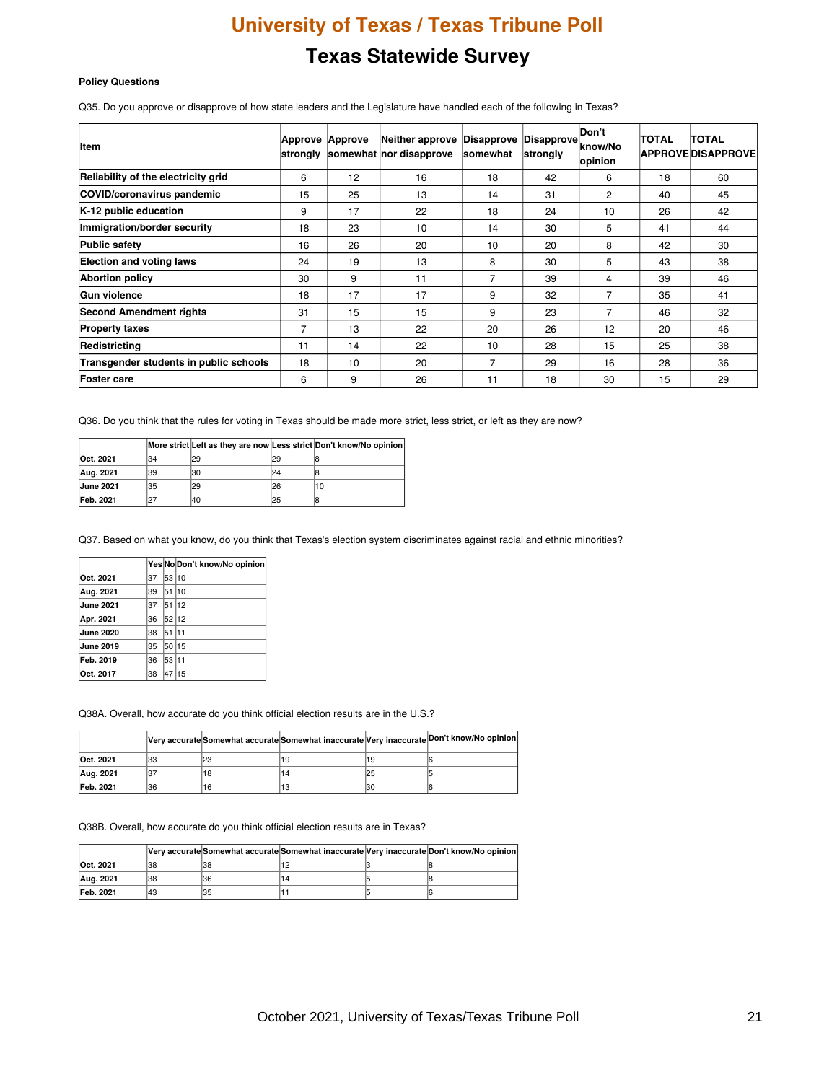#### **Policy Questions**

Q35. Do you approve or disapprove of how state leaders and the Legislature have handled each of the following in Texas?

| <b>Item</b>                            | <b>Approve</b><br>strongly | Approve | Neither approve Disapprove<br>somewhat nor disapprove | somewhat | Disapprove<br>strongly | Don't<br>know/No<br>opinion | <b>TOTAL</b> | <b>TOTAL</b><br><b>APPROVEDISAPPROVE</b> |
|----------------------------------------|----------------------------|---------|-------------------------------------------------------|----------|------------------------|-----------------------------|--------------|------------------------------------------|
| Reliability of the electricity grid    | 6                          | 12      | 16                                                    | 18       | 42                     | 6                           | 18           | 60                                       |
| COVID/coronavirus pandemic             | 15                         | 25      | 13                                                    | 14       | 31                     | $\overline{2}$              | 40           | 45                                       |
| K-12 public education                  | 9                          | 17      | 22                                                    | 18       | 24                     | 10                          | 26           | 42                                       |
| Immigration/border security            | 18                         | 23      | 10                                                    | 14       | 30                     | 5                           | 41           | 44                                       |
| <b>Public safety</b>                   | 16                         | 26      | 20                                                    | 10       | 20                     | 8                           | 42           | 30                                       |
| <b>Election and voting laws</b>        | 24                         | 19      | 13                                                    | 8        | 30                     | 5                           | 43           | 38                                       |
| <b>Abortion policy</b>                 | 30                         | 9       | 11                                                    | 7        | 39                     | 4                           | 39           | 46                                       |
| <b>Gun violence</b>                    | 18                         | 17      | 17                                                    | 9        | 32                     | 7                           | 35           | 41                                       |
| <b>Second Amendment rights</b>         | 31                         | 15      | 15                                                    | 9        | 23                     | 7                           | 46           | 32                                       |
| <b>Property taxes</b>                  | $\overline{7}$             | 13      | 22                                                    | 20       | 26                     | 12                          | 20           | 46                                       |
| Redistricting                          | 11                         | 14      | 22                                                    | 10       | 28                     | 15                          | 25           | 38                                       |
| Transgender students in public schools | 18                         | 10      | 20                                                    | 7        | 29                     | 16                          | 28           | 36                                       |
| <b>Foster care</b>                     | 6                          | 9       | 26                                                    | 11       | 18                     | 30                          | 15           | 29                                       |

Q36. Do you think that the rules for voting in Texas should be made more strict, less strict, or left as they are now?

|                  |    |     |     | More strict Left as they are now Less strict Don't know/No opinion |
|------------------|----|-----|-----|--------------------------------------------------------------------|
| Oct. 2021        | 34 | 129 | l29 |                                                                    |
| Aug. 2021        | 39 | 130 | 24  |                                                                    |
| <b>June 2021</b> | 35 | 129 | 126 | 10                                                                 |
| Feb. 2021        |    | 140 | 125 |                                                                    |

Q37. Based on what you know, do you think that Texas's election system discriminates against racial and ethnic minorities?

|                  |     |       | Yes No Don't know/No opinion |
|------------------|-----|-------|------------------------------|
| Oct. 2021        | 37  | 53    | 10                           |
| Aug. 2021        | 39  | 51    | 10                           |
| <b>June 2021</b> | 137 | 51    | 12                           |
| Apr. 2021        | 36  | 52 12 |                              |
| <b>June 2020</b> | 38  | 51    | 11                           |
| <b>June 2019</b> | 35  | 50    | 15                           |
| Feb. 2019        | 36  | 53    | 11                           |
| Oct. 2017        | 38  | 47    | 15                           |

Q38A. Overall, how accurate do you think official election results are in the U.S.?

|                  |     |    |    | Very accurate Somewhat accurate Somewhat inaccurate Very inaccurate Don't know/No opinion |
|------------------|-----|----|----|-------------------------------------------------------------------------------------------|
| Oct. 2021        | 133 |    |    |                                                                                           |
| Aug. 2021        |     | 18 | 25 |                                                                                           |
| <b>Feb. 2021</b> | 136 | 16 | 30 |                                                                                           |

Q38B. Overall, how accurate do you think official election results are in Texas?

|           |     |     |  | Very accurate Somewhat accurate Somewhat inaccurate Very inaccurate Don't know/No opinion |
|-----------|-----|-----|--|-------------------------------------------------------------------------------------------|
| Oct. 2021 | 38  | 38  |  |                                                                                           |
| Aug. 2021 | 38  | 36  |  |                                                                                           |
| Feb. 2021 | 143 | 135 |  |                                                                                           |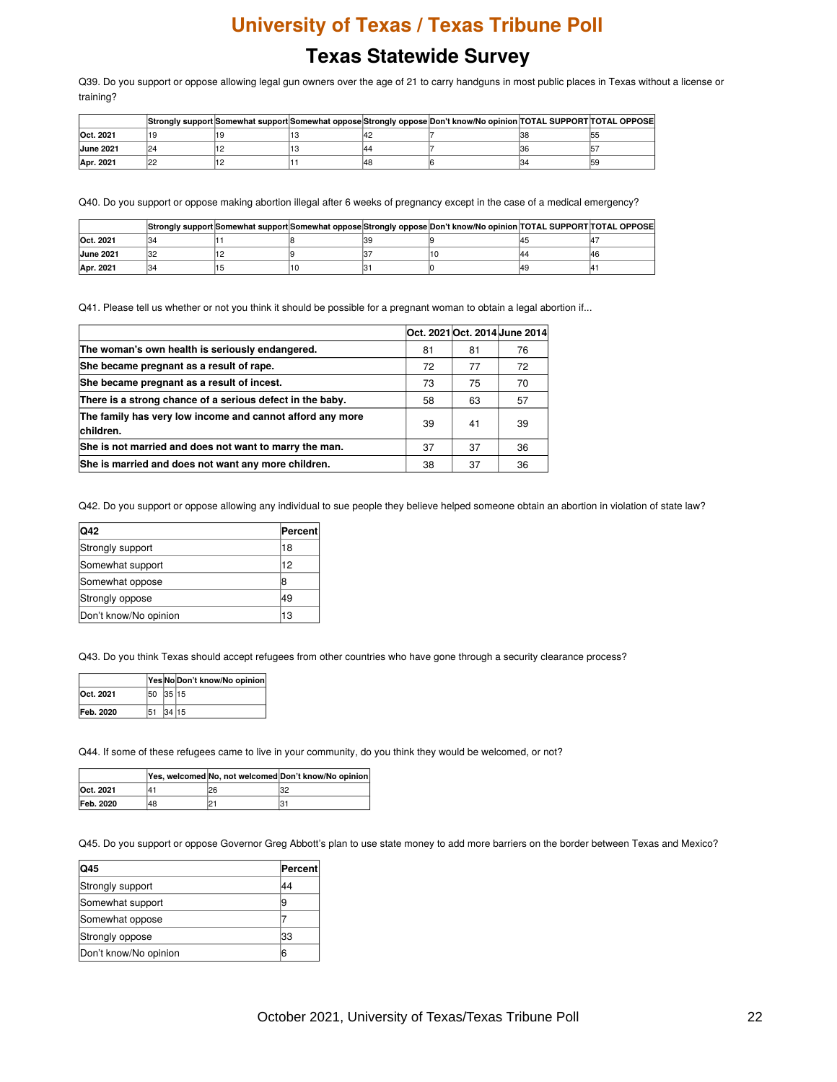Q39. Do you support or oppose allowing legal gun owners over the age of 21 to carry handguns in most public places in Texas without a license or training?

|                  |     |  |     | Strongly support Somewhat support Somewhat oppose Strongly oppose Don't know/No opinion TOTAL SUPPORT TOTAL OPPOSE |     |
|------------------|-----|--|-----|--------------------------------------------------------------------------------------------------------------------|-----|
| Oct. 2021        |     |  |     |                                                                                                                    | 155 |
| <b>June 2021</b> | 124 |  |     |                                                                                                                    |     |
| Apr. 2021        | c   |  | 148 |                                                                                                                    | 159 |

Q40. Do you support or oppose making abortion illegal after 6 weeks of pregnancy except in the case of a medical emergency?

|                  |      |  | Strongly support Somewhat support Somewhat oppose Strongly oppose Don't know/No opinion TOTAL SUPPORT TOTAL OPPOSE |     |
|------------------|------|--|--------------------------------------------------------------------------------------------------------------------|-----|
| Oct. 2021        | 34   |  |                                                                                                                    |     |
| <b>June 2021</b> | יכיו |  |                                                                                                                    | 146 |
| Apr. 2021        | 134  |  |                                                                                                                    |     |

Q41. Please tell us whether or not you think it should be possible for a pregnant woman to obtain a legal abortion if...

|                                                                        |    |    | Oct. 2021 Oct. 2014 June 2014 |
|------------------------------------------------------------------------|----|----|-------------------------------|
| The woman's own health is seriously endangered.                        | 81 | 81 | 76                            |
| She became pregnant as a result of rape.                               | 72 | 77 | 72                            |
| She became pregnant as a result of incest.                             | 73 | 75 | 70                            |
| There is a strong chance of a serious defect in the baby.              | 58 | 63 | 57                            |
| The family has very low income and cannot afford any more<br>children. | 39 | 41 | 39                            |
| She is not married and does not want to marry the man.                 | 37 | 37 | 36                            |
| She is married and does not want any more children.                    | 38 | 37 | 36                            |

Q42. Do you support or oppose allowing any individual to sue people they believe helped someone obtain an abortion in violation of state law?

| <b>Q42</b>            | Percent |
|-----------------------|---------|
| Strongly support      | 18      |
| Somewhat support      | 12      |
| Somewhat oppose       | 18      |
| Strongly oppose       | 49      |
| Don't know/No opinion | 13      |

Q43. Do you think Texas should accept refugees from other countries who have gone through a security clearance process?

|                  |          |       | Yes No Don't know/No opinion |
|------------------|----------|-------|------------------------------|
| Oct. 2021        | 50 35 15 |       |                              |
| <b>Feb. 2020</b> | 51       | 34 15 |                              |

Q44. If some of these refugees came to live in your community, do you think they would be welcomed, or not?

|           |    |    | Yes, welcomed No, not welcomed Don't know/No opinion |
|-----------|----|----|------------------------------------------------------|
| Oct. 2021 | ı4 | 26 | 32                                                   |
| Feb. 2020 | 48 | n. | 3.                                                   |

Q45. Do you support or oppose Governor Greg Abbott's plan to use state money to add more barriers on the border between Texas and Mexico?

| <b>IQ45</b>           | Percent |
|-----------------------|---------|
| Strongly support      | 44      |
| Somewhat support      | 9       |
| Somewhat oppose       |         |
| Strongly oppose       | 33      |
| Don't know/No opinion | 6       |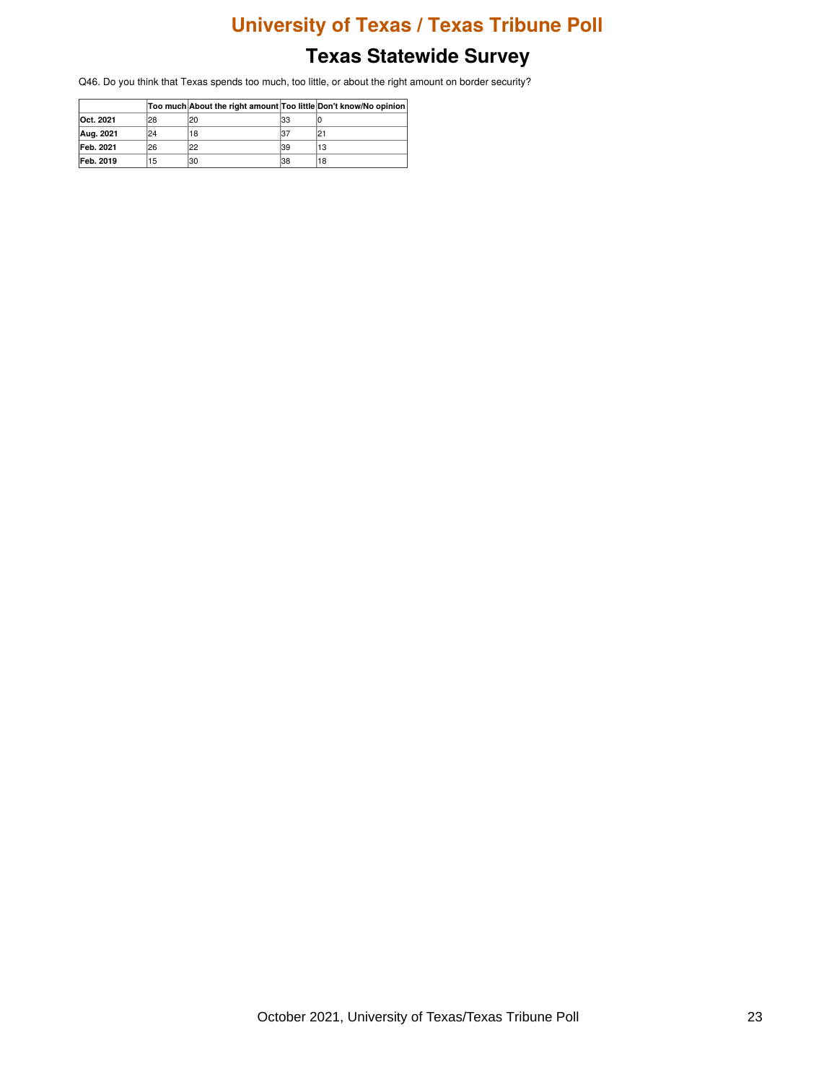### **Texas Statewide Survey**

Q46. Do you think that Texas spends too much, too little, or about the right amount on border security?

|           |     | Too much About the right amount Too little Don't know/No opinion |     |    |
|-----------|-----|------------------------------------------------------------------|-----|----|
| Oct. 2021 | 128 | 20                                                               | 133 |    |
| Aug. 2021 | 124 | 18                                                               | 37  |    |
| Feb. 2021 | 126 | 22                                                               | 39  | 13 |
| Feb. 2019 | 15  | 130                                                              | 38  | 18 |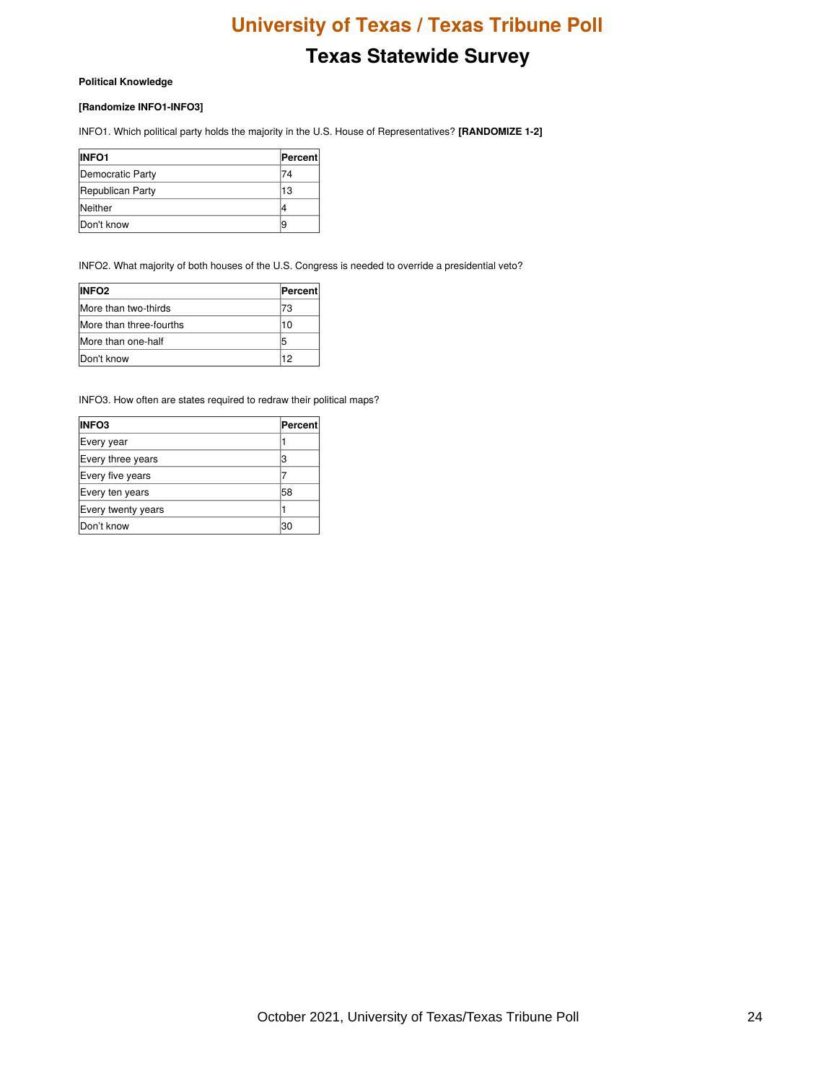# **Texas Statewide Survey**

#### **Political Knowledge**

#### **[Randomize INFO1-INFO3]**

INFO1. Which political party holds the majority in the U.S. House of Representatives? **[RANDOMIZE 1-2]**

| <b>INFO1</b>     | <b>Percent</b> |
|------------------|----------------|
| Democratic Party |                |
| Republican Party | 13             |
| Neither          |                |
| Don't know       | ĸ              |

INFO2. What majority of both houses of the U.S. Congress is needed to override a presidential veto?

| <b>INFO2</b>            | Percent |
|-------------------------|---------|
| More than two-thirds    | 73      |
| More than three-fourths | 10      |
| More than one-half      | 5       |
| Don't know              | 12      |

INFO3. How often are states required to redraw their political maps?

| <b>INFO3</b>       | Percent |
|--------------------|---------|
| Every year         |         |
| Every three years  |         |
| Every five years   |         |
| Every ten years    | 58      |
| Every twenty years |         |
| Don't know         | 30      |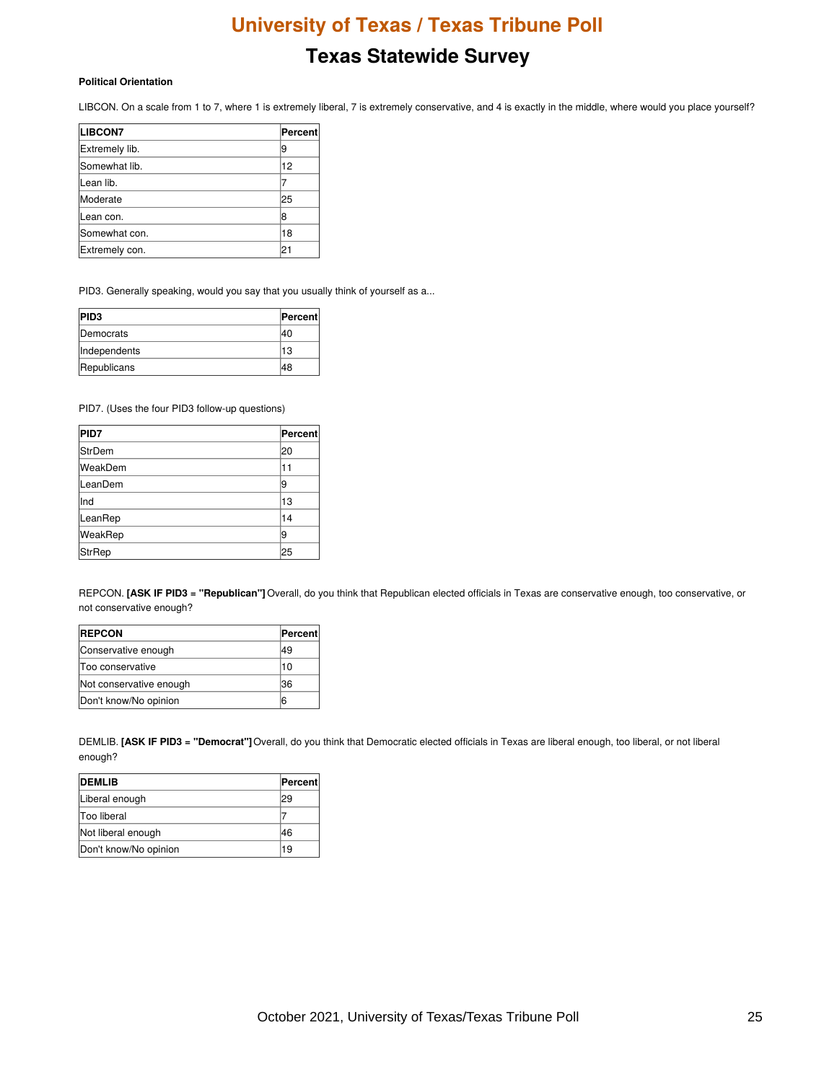# **Texas Statewide Survey**

#### **Political Orientation**

LIBCON. On a scale from 1 to 7, where 1 is extremely liberal, 7 is extremely conservative, and 4 is exactly in the middle, where would you place yourself?

| <b>LIBCON7</b> | Percent |
|----------------|---------|
| Extremely lib. | 9       |
| Somewhat lib.  | 12      |
| Lean lib.      |         |
| Moderate       | 25      |
| Lean con.      | 18      |
| Somewhat con.  | 18      |
| Extremely con. | 21      |

PID3. Generally speaking, would you say that you usually think of yourself as a...

| <b>PID3</b>       | Percent |
|-------------------|---------|
| <b>IDemocrats</b> | 40      |
| Independents      | 13      |
| Republicans       | 48      |

PID7. (Uses the four PID3 follow-up questions)

| <b>PID7</b>   | Percent |
|---------------|---------|
| <b>StrDem</b> | 20      |
| WeakDem       | 11      |
| LeanDem       | 19      |
| lInd          | 13      |
| LeanRep       | 14      |
| WeakRep       | 19      |
| <b>StrRep</b> | 25      |

REPCON. **[ASK IF PID3 = "Republican"]** Overall, do you think that Republican elected officials in Texas are conservative enough, too conservative, or not conservative enough?

| <b>REPCON</b>           | <b>Percent</b> |
|-------------------------|----------------|
| Conservative enough     | 49             |
| Too conservative        | 10             |
| Not conservative enough | 36             |
| Don't know/No opinion   | 6              |

DEMLIB. **[ASK IF PID3 = "Democrat"]**Overall, do you think that Democratic elected officials in Texas are liberal enough, too liberal, or not liberal enough?

| <b>IDEMLIB</b>        | Percent |
|-----------------------|---------|
| Liberal enough        | 29      |
| <b>Too liberal</b>    |         |
| Not liberal enough    | 46      |
| Don't know/No opinion | 19      |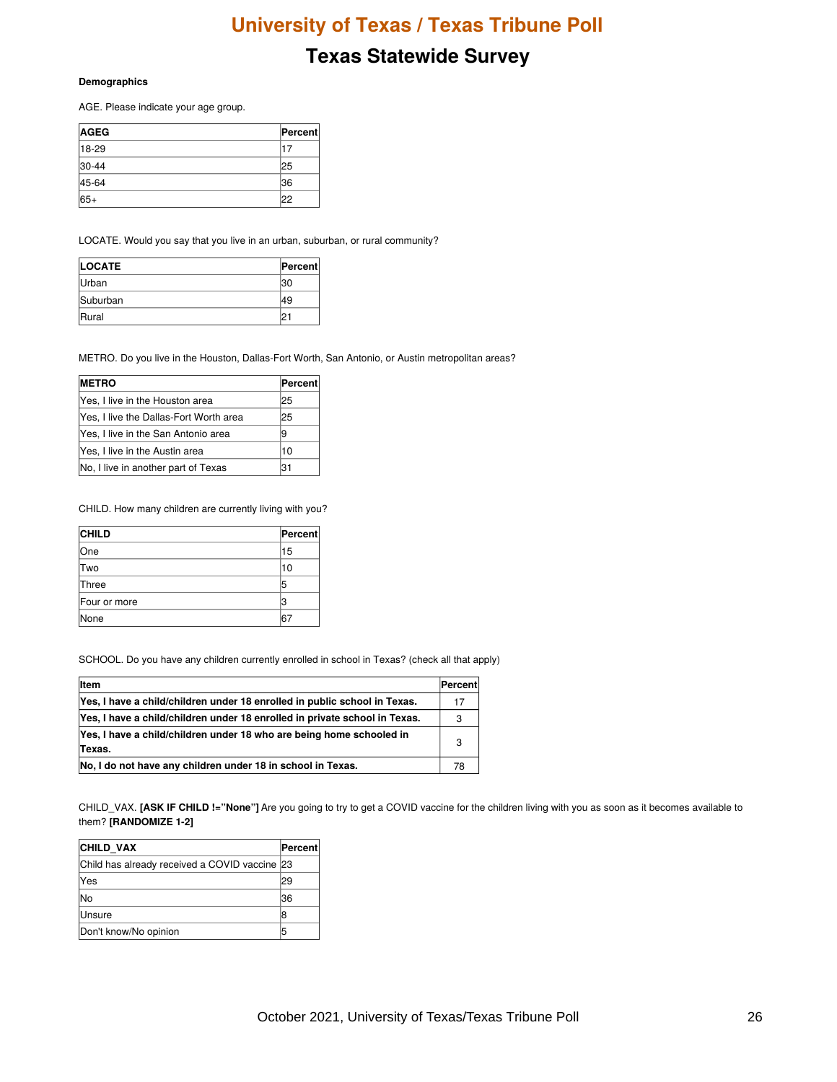# **Texas Statewide Survey**

#### **Demographics**

AGE. Please indicate your age group.

| <b>AGEG</b> | <b>Percent</b> |
|-------------|----------------|
| $18-29$     |                |
| 30-44       | 25             |
| 45-64       | 136            |
| 65+         | '22            |

LOCATE. Would you say that you live in an urban, suburban, or rural community?

| <b>LOCATE</b> | Percent |
|---------------|---------|
| Urban         | 130     |
| Suburban      | 49      |
| <b>IRural</b> |         |

METRO. Do you live in the Houston, Dallas-Fort Worth, San Antonio, or Austin metropolitan areas?

| <b>IMETRO</b>                          | Percent |
|----------------------------------------|---------|
| Yes, I live in the Houston area        | 25      |
| Yes, I live the Dallas-Fort Worth area | 25      |
| Yes, I live in the San Antonio area    | 9       |
| Yes, I live in the Austin area         | 10      |
| No, I live in another part of Texas    | 31      |

CHILD. How many children are currently living with you?

| <b>CHILD</b> | Percent |
|--------------|---------|
| lOne         | 15      |
| <b>Two</b>   | 10      |
| Three        | 5       |
| Four or more | з       |
| None         | 6.      |

SCHOOL. Do you have any children currently enrolled in school in Texas? (check all that apply)

| <b>Item</b>                                                                    | Percent |
|--------------------------------------------------------------------------------|---------|
| Yes, I have a child/children under 18 enrolled in public school in Texas.      | 17      |
| Yes, I have a child/children under 18 enrolled in private school in Texas.     | 3       |
| Yes, I have a child/children under 18 who are being home schooled in<br>Texas. | 3       |
| No, I do not have any children under 18 in school in Texas.                    | 78      |

CHILD\_VAX. **[ASK IF CHILD !="None"]** Are you going to try to get a COVID vaccine for the children living with you as soon as it becomes available to them? **[RANDOMIZE 1-2]**

| <b>CHILD VAX</b>                              | Percent |
|-----------------------------------------------|---------|
| Child has already received a COVID vaccine 23 |         |
| Yes                                           | 29      |
| lNo                                           | 36      |
| <b>Unsure</b>                                 |         |
| Don't know/No opinion                         | 5       |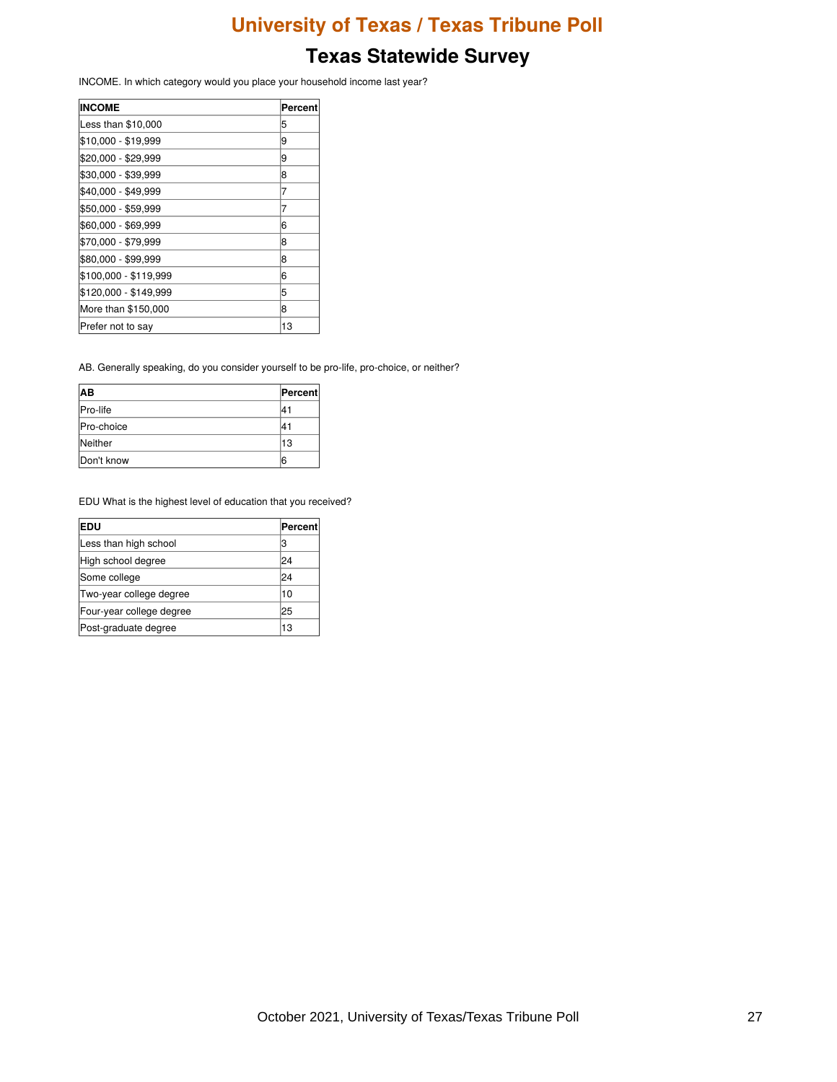INCOME. In which category would you place your household income last year?

| <b>INCOME</b>         | Percent |
|-----------------------|---------|
| Less than \$10,000    | 5       |
| \$10,000 - \$19,999   | 9       |
| \$20,000 - \$29,999   | 9       |
| \$30,000 - \$39,999   | 8       |
| \$40,000 - \$49,999   | 7       |
| \$50,000 - \$59,999   |         |
| \$60,000 - \$69,999   | 6       |
| \$70,000 - \$79,999   | 8       |
| \$80,000 - \$99,999   | 8       |
| \$100,000 - \$119,999 | 6       |
| \$120,000 - \$149,999 | 5       |
| More than \$150,000   | 8       |
| Prefer not to say     | 13      |

AB. Generally speaking, do you consider yourself to be pro-life, pro-choice, or neither?

| lАB               | Percent |
|-------------------|---------|
| <b>Pro-life</b>   | 41      |
| <b>Pro-choice</b> | 4٦،     |
| Neither           | 13      |
| Don't know        | 6       |

EDU What is the highest level of education that you received?

| <b>EDU</b>               | Percent |
|--------------------------|---------|
| Less than high school    | IЗ      |
| High school degree       | 24      |
| Some college             | 24      |
| Two-year college degree  | 10      |
| Four-year college degree | 25      |
| Post-graduate degree     | 13      |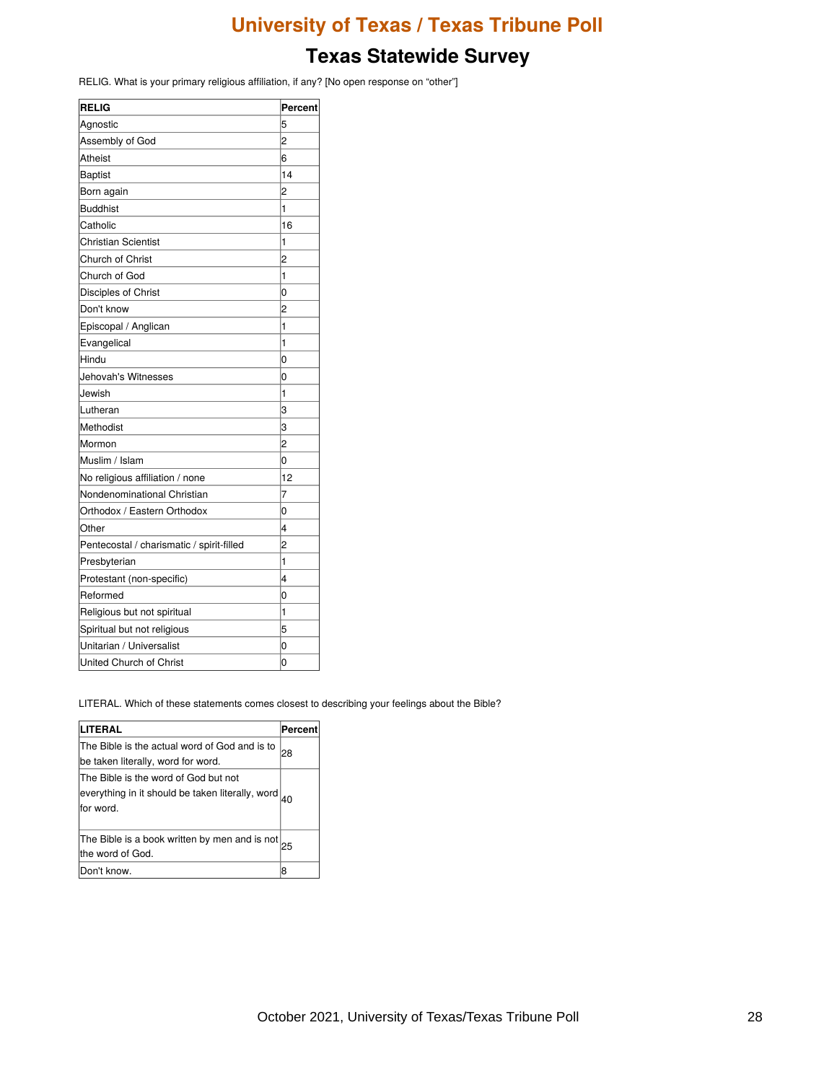# **Texas Statewide Survey**

RELIG. What is your primary religious affiliation, if any? [No open response on "other"]

| <b>RELIG</b>                              | Percent        |
|-------------------------------------------|----------------|
| Agnostic                                  | 5              |
| Assembly of God                           | 2              |
| Atheist                                   | 6              |
| <b>Baptist</b>                            | 14             |
| Born again                                | 2              |
| <b>Buddhist</b>                           | 1              |
| Catholic                                  | 16             |
| <b>Christian Scientist</b>                | 1              |
| Church of Christ                          | $\overline{c}$ |
| Church of God                             | 1              |
| Disciples of Christ                       | 0              |
| Don't know                                | 2              |
| Episcopal / Anglican                      | 1              |
| Evangelical                               | 1              |
| Hindu                                     | 0              |
| Jehovah's Witnesses                       | $\overline{0}$ |
| Jewish                                    | 1              |
| Lutheran                                  | 3              |
| Methodist                                 | 3              |
| Mormon                                    | $\overline{c}$ |
| Muslim / Islam                            | 0              |
| No religious affiliation / none           | 12             |
| Nondenominational Christian               | 7              |
| Orthodox / Eastern Orthodox               | $\Omega$       |
| Other                                     | 4              |
| Pentecostal / charismatic / spirit-filled | $\overline{2}$ |
| Presbyterian                              | $\mathbf 1$    |
| Protestant (non-specific)                 | 4              |
| Reformed                                  | 0              |
| Religious but not spiritual               | 1              |
| Spiritual but not religious               | 5              |
| Unitarian / Universalist                  | 0              |
| United Church of Christ                   | 0              |

LITERAL. Which of these statements comes closest to describing your feelings about the Bible?

| LITERAL                                                                                               | Percent |
|-------------------------------------------------------------------------------------------------------|---------|
| The Bible is the actual word of God and is to<br>be taken literally, word for word.                   | 28      |
| The Bible is the word of God but not<br>everything in it should be taken literally, word<br>for word. |         |
| The Bible is a book written by men and is not<br>the word of God.                                     | 25      |
| Don't know.                                                                                           | 8       |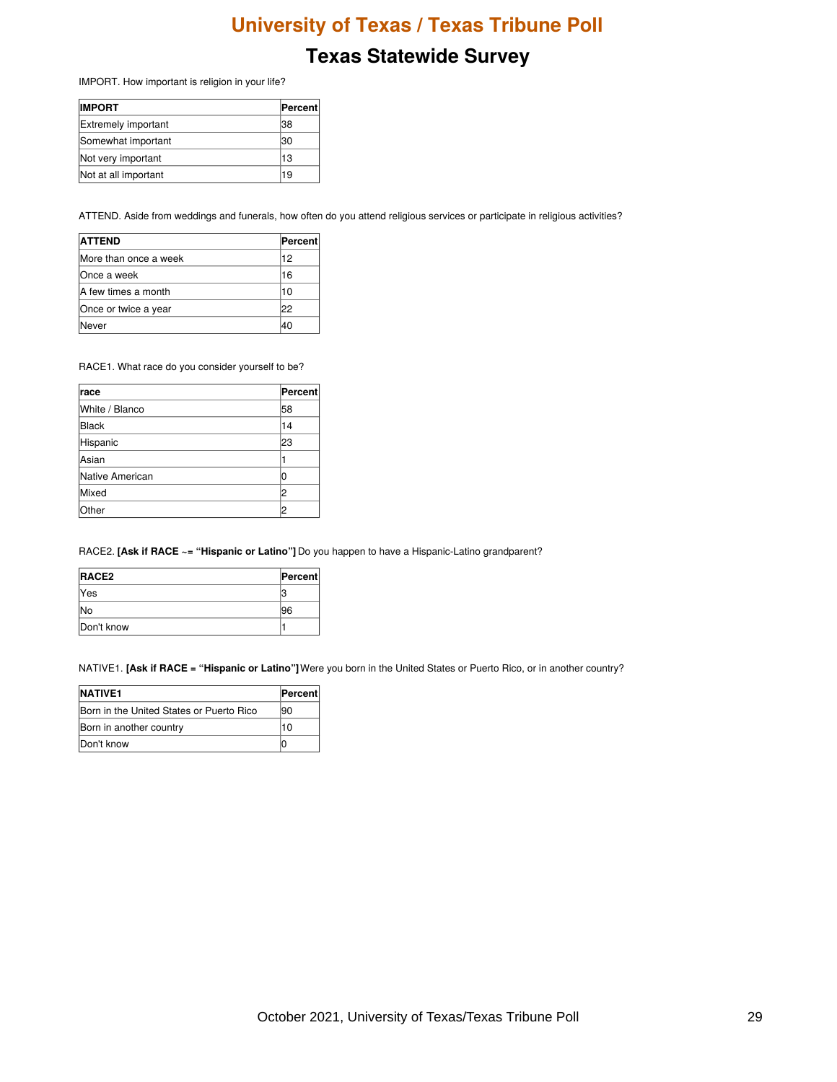### **Texas Statewide Survey**

IMPORT. How important is religion in your life?

| <b>IMPORT</b>              | ∣Percent∣ |
|----------------------------|-----------|
| <b>Extremely important</b> | 38        |
| Somewhat important         | 30        |
| Not very important         | 13        |
| Not at all important       | 19        |

ATTEND. Aside from weddings and funerals, how often do you attend religious services or participate in religious activities?

| <b>ATTEND</b>         | Percent |
|-----------------------|---------|
| More than once a week | 12      |
| lOnce a week          | 16      |
| IA few times a month  | 10      |
| Once or twice a year  | 22      |
| √ever                 | 40      |

RACE1. What race do you consider yourself to be?

| <b>race</b>     | Percent |
|-----------------|---------|
| White / Blanco  | 58      |
| Black           | 14      |
| Hispanic        | 23      |
| lAsian          |         |
| Native American |         |
| Mixed           | 2       |
| Other           | 2       |

RACE2. **[Ask if RACE ~= "Hispanic or Latino"]** Do you happen to have a Hispanic-Latino grandparent?

| RACE <sub>2</sub> | Percent |
|-------------------|---------|
| <b>Yes</b>        |         |
| lNo               | 96      |
| Don't know        |         |

NATIVE1. **[Ask if RACE = "Hispanic or Latino"]**Were you born in the United States or Puerto Rico, or in another country?

| <b>NATIVE1</b>                           | <b>Percent</b> |
|------------------------------------------|----------------|
| Born in the United States or Puerto Rico | 190            |
| Born in another country                  | 10             |
| Don't know                               |                |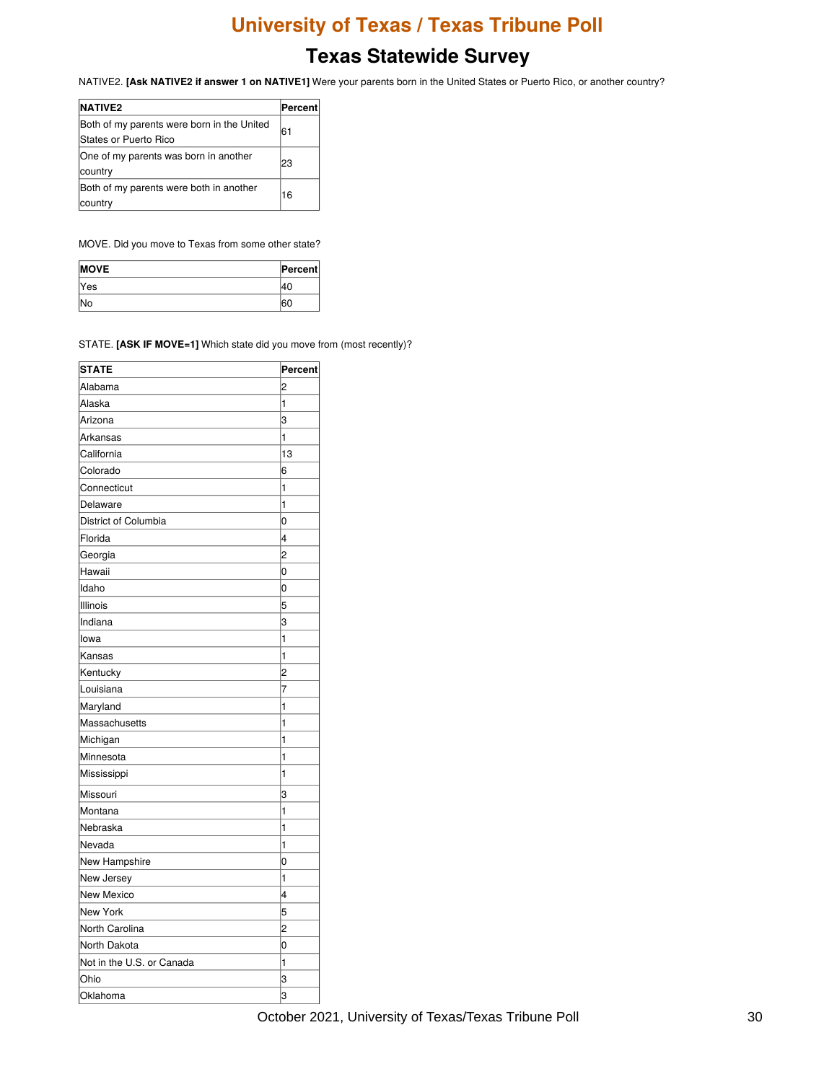# **Texas Statewide Survey**

NATIVE2. **[Ask NATIVE2 if answer 1 on NATIVE1]** Were your parents born in the United States or Puerto Rico, or another country?

| <b>NATIVE2</b>                                                              | Percent |
|-----------------------------------------------------------------------------|---------|
| Both of my parents were born in the United<br><b>IStates or Puerto Rico</b> | 61      |
| One of my parents was born in another<br>country                            | 23      |
| Both of my parents were both in another<br>country                          | 16      |

MOVE. Did you move to Texas from some other state?

| <b>MOVE</b> | Percent |
|-------------|---------|
| <b>Yes</b>  |         |
| <b>INo</b>  |         |

STATE. **[ASK IF MOVE=1]** Which state did you move from (most recently)?

| <b>STATE</b>              | <b>Percent</b> |
|---------------------------|----------------|
| Alabama                   | 2              |
| Alaska                    | 1              |
| Arizona                   | 3              |
| Arkansas                  | 1              |
| California                | 13             |
| Colorado                  | 6              |
| Connecticut               | 1              |
| Delaware                  | 1              |
| District of Columbia      | $\Omega$       |
| Florida                   | 4              |
| Georgia                   | 2              |
| Hawaii                    | 0              |
| Idaho                     | 0              |
| Illinois                  | 5              |
| Indiana                   | 3              |
| lowa                      | 1              |
| Kansas                    | 1              |
| Kentucky                  | $\overline{c}$ |
| Louisiana                 | 7              |
| Maryland                  | 1              |
| Massachusetts             | 1              |
| Michigan                  | 1              |
| Minnesota                 | 1              |
| Mississippi               | 1              |
| Missouri                  | 3              |
| Montana                   | 1              |
| Nebraska                  | 1              |
| Nevada                    | 1              |
| New Hampshire             | 0              |
| New Jersey                | 1              |
| New Mexico                | 4              |
| New York                  | 5              |
| North Carolina            | 2              |
| North Dakota              | 0              |
| Not in the U.S. or Canada | 1              |
| Ohio                      | 3              |
| Oklahoma                  | 3              |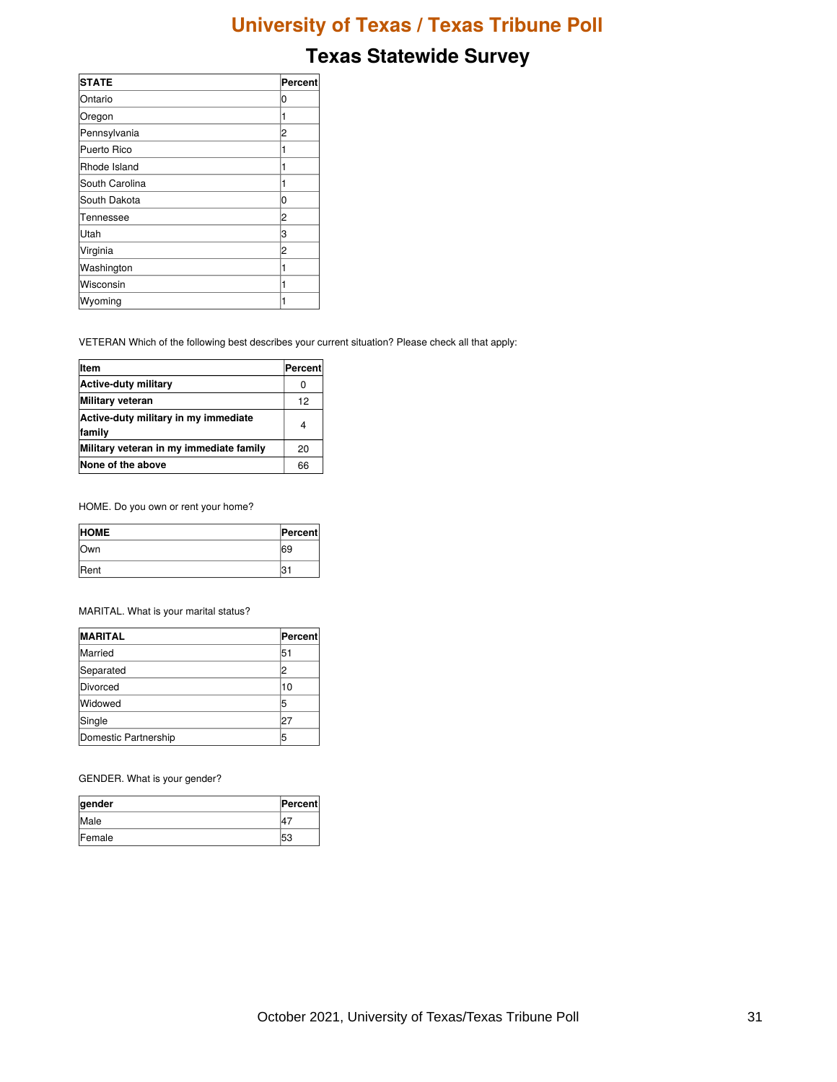# **Texas Statewide Survey**

| <b>STATE</b>   | Percent |
|----------------|---------|
| Ontario        | 0       |
| Oregon         |         |
| Pennsylvania   | 2       |
| Puerto Rico    |         |
| Rhode Island   |         |
| South Carolina |         |
| South Dakota   | 0       |
| Tennessee      | 2       |
| <b>Utah</b>    | 3       |
| Virginia       | 2       |
| Washington     |         |
| Wisconsin      |         |
| Wyoming        |         |

VETERAN Which of the following best describes your current situation? Please check all that apply:

| litem                                          | Percent |
|------------------------------------------------|---------|
| Active-duty military                           | 0       |
| <b>Military veteran</b>                        | 12      |
| Active-duty military in my immediate<br>family | 4       |
| Military veteran in my immediate family        | 20      |
| None of the above                              | 66      |

HOME. Do you own or rent your home?

| <b>HOME</b>  | <b>Percent</b> |
|--------------|----------------|
| lOwn         | 69             |
| <b>IRent</b> |                |

MARITAL. What is your marital status?

| <b>MARITAL</b>       | <b>Percent</b> |
|----------------------|----------------|
| Married              | 51             |
| Separated            | 2              |
| Divorced             | 10             |
| Widowed              | 5              |
| Single               | 27             |
| Domestic Partnership | 5              |

GENDER. What is your gender?

| gender         | <b>Percent</b> |
|----------------|----------------|
| Male           |                |
| <b>IFemale</b> | 53             |